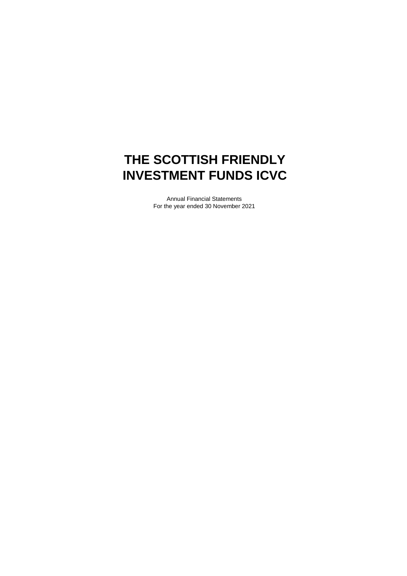For the year ended 30 November 2021 Annual Financial Statements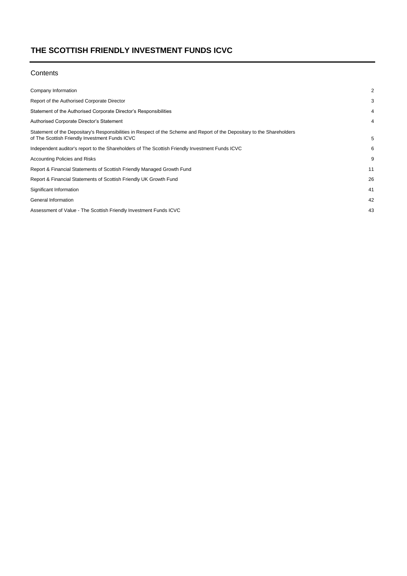## **Contents**

| Company Information                                                                                                                                                        |    |
|----------------------------------------------------------------------------------------------------------------------------------------------------------------------------|----|
| Report of the Authorised Corporate Director                                                                                                                                |    |
| Statement of the Authorised Corporate Director's Responsibilities                                                                                                          |    |
| Authorised Corporate Director's Statement                                                                                                                                  |    |
| Statement of the Depositary's Responsibilities in Respect of the Scheme and Report of the Depositary to the Shareholders<br>of The Scottish Friendly Investment Funds ICVC | 5  |
| Independent auditor's report to the Shareholders of The Scottish Friendly Investment Funds ICVC                                                                            | Е  |
| <b>Accounting Policies and Risks</b>                                                                                                                                       |    |
| Report & Financial Statements of Scottish Friendly Managed Growth Fund                                                                                                     | 11 |
| Report & Financial Statements of Scottish Friendly UK Growth Fund                                                                                                          | 26 |
| Significant Information                                                                                                                                                    | 41 |
| General Information                                                                                                                                                        | 42 |
| Assessment of Value - The Scottish Friendly Investment Funds ICVC                                                                                                          | 43 |
|                                                                                                                                                                            |    |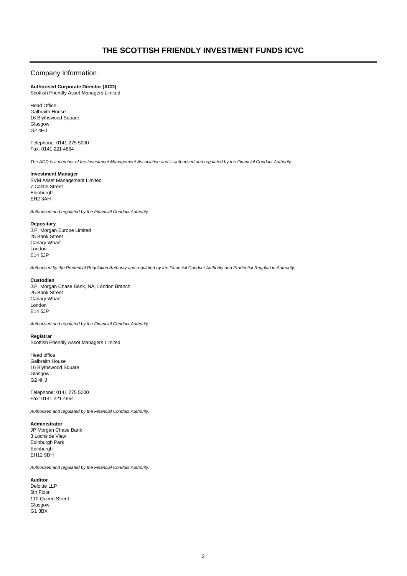## Company Information

## **Authorised Corporate Director (ACD)**

Scottish Friendly Asset Managers Limited

Head Office Galbraith House 16 Blythswood Square Glasgow G2 4HJ

Telephone: 0141 275 5000 Fax: 0141 221 4864

*The ACD is a member of the Investment Management Association and is authorised and regulated by the Financial Conduct Authority.*

## **Investment Manager**

SVM Asset Management Limited 7 Castle Street Edinburgh EH2 3AH

*Authorised and regulated by the Financial Conduct Authority.*

#### **Depositary**

J.P. Morgan Europe Limited 25 Bank Street Canary Wharf London E14 5JP

*Authorised by the Prudential Regulation Authority and regulated by the Financial Conduct Authority and Prudential Regulation Authority.*

### **Custodian**

J.P. Morgan Chase Bank, NA, London Branch 25 Bank Street Canary Wharf London E14 5JP

*Authorised and regulated by the Financial Conduct Authority.*

#### **Registrar**

Scottish Friendly Asset Managers Limited

Head office Galbraith House 16 Blythswood Square Glasgow G2 4HJ

Telephone: 0141 275 5000 Fax: 0141 221 4864

*Authorised and regulated by the Financial Conduct Authority.*

#### **Administrator**

JP Morgan Chase Bank 3 Lochside View Edinburgh Park Edinburgh EH12 9DH

*Authorised and regulated by the Financial Conduct Authority.*

### **Auditor**

Deloitte LLP 5th Floor 110 Queen Street Glasgow G1 3BX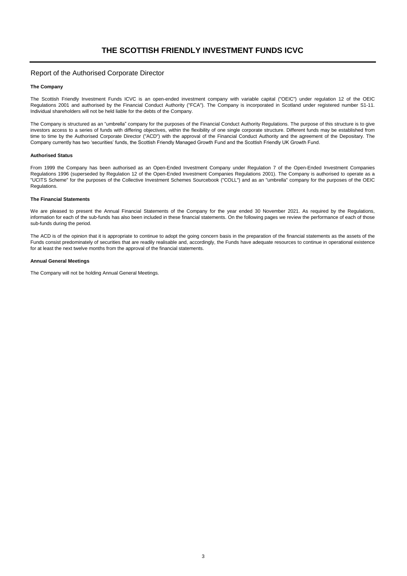## Report of the Authorised Corporate Director

## **The Company**

The Scottish Friendly Investment Funds ICVC is an open-ended investment company with variable capital ("OEIC") under regulation 12 of the OEIC Regulations 2001 and authorised by the Financial Conduct Authority ("FCA"). The Company is incorporated in Scotland under registered number S1-11. Individual shareholders will not be held liable for the debts of the Company.

The Company is structured as an "umbrella" company for the purposes of the Financial Conduct Authority Regulations. The purpose of this structure is to give investors access to a series of funds with differing objectives, within the flexibility of one single corporate structure. Different funds may be established from time to time by the Authorised Corporate Director ("ACD") with the approval of the Financial Conduct Authority and the agreement of the Depositary. The Company currently has two 'securities' funds, the Scottish Friendly Managed Growth Fund and the Scottish Friendly UK Growth Fund.

### **Authorised Status**

From 1999 the Company has been authorised as an Open-Ended Investment Company under Regulation 7 of the Open-Ended Investment Companies Regulations 1996 (superseded by Regulation 12 of the Open-Ended Investment Companies Regulations 2001). The Company is authorised to operate as a "UCITS Scheme" for the purposes of the Collective Investment Schemes Sourcebook ("COLL") and as an "umbrella" company for the purposes of the OEIC Regulations.

#### **The Financial Statements**

We are pleased to present the Annual Financial Statements of the Company for the year ended 30 November 2021. As required by the Regulations, information for each of the sub-funds has also been included in these financial statements. On the following pages we review the performance of each of those sub-funds during the period.

The ACD is of the opinion that it is appropriate to continue to adopt the going concern basis in the preparation of the financial statements as the assets of the Funds consist predominately of securities that are readily realisable and, accordingly, the Funds have adequate resources to continue in operational existence for at least the next twelve months from the approval of the financial statements.

#### **Annual General Meetings**

The Company will not be holding Annual General Meetings.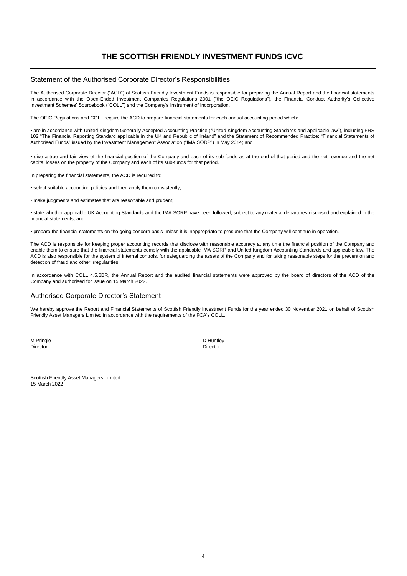## Statement of the Authorised Corporate Director's Responsibilities

The Authorised Corporate Director ("ACD") of Scottish Friendly Investment Funds is responsible for preparing the Annual Report and the financial statements in accordance with the Open-Ended Investment Companies Regulations 2001 ("the OEIC Regulations"), the Financial Conduct Authority's Collective Investment Schemes' Sourcebook ("COLL") and the Company's Instrument of Incorporation.

The OEIC Regulations and COLL require the ACD to prepare financial statements for each annual accounting period which:

• are in accordance with United Kingdom Generally Accepted Accounting Practice ("United Kingdom Accounting Standards and applicable law"), including FRS 102 "The Financial Reporting Standard applicable in the UK and Republic of Ireland" and the Statement of Recommended Practice: "Financial Statements of Authorised Funds" issued by the Investment Management Association ("IMA SORP") in May 2014; and

• give a true and fair view of the financial position of the Company and each of its sub-funds as at the end of that period and the net revenue and the net capital losses on the property of the Company and each of its sub-funds for that period.

In preparing the financial statements, the ACD is required to:

- select suitable accounting policies and then apply them consistently;
- make judgments and estimates that are reasonable and prudent;

• state whether applicable UK Accounting Standards and the IMA SORP have been followed, subject to any material departures disclosed and explained in the financial statements; and

• prepare the financial statements on the going concern basis unless it is inappropriate to presume that the Company will continue in operation.

The ACD is responsible for keeping proper accounting records that disclose with reasonable accuracy at any time the financial position of the Company and enable them to ensure that the financial statements comply with the applicable IMA SORP and United Kingdom Accounting Standards and applicable law. The ACD is also responsible for the system of internal controls, for safeguarding the assets of the Company and for taking reasonable steps for the prevention and detection of fraud and other irregularities.

In accordance with COLL 4.5.8BR, the Annual Report and the audited financial statements were approved by the board of directors of the ACD of the Company and authorised for issue on 15 March 2022.

## Authorised Corporate Director's Statement

We hereby approve the Report and Financial Statements of Scottish Friendly Investment Funds for the year ended 30 November 2021 on behalf of Scottish Friendly Asset Managers Limited in accordance with the requirements of the FCA's COLL.

M Pringle D Huntley D Huntley<br>Director Director **Director** Director **Director Director Director Director Director Director Director Director Director** 

Scottish Friendly Asset Managers Limited 15 March 2022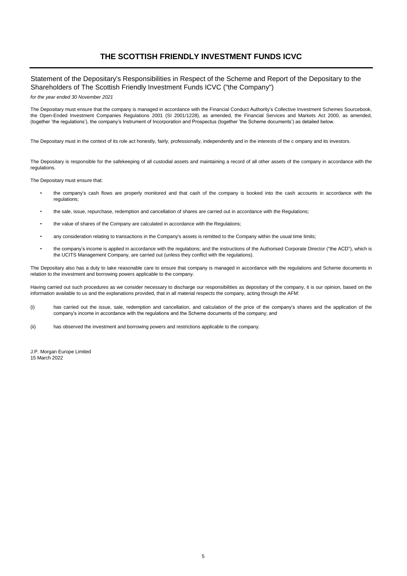## Statement of the Depositary's Responsibilities in Respect of the Scheme and Report of the Depositary to the Shareholders of The Scottish Friendly Investment Funds ICVC ("the Company")

*for the year ended 30 November 2021*

The Depositary must ensure that the company is managed in accordance with the Financial Conduct Authority's Collective Investment Schemes Sourcebook, the Open-Ended Investment Companies Regulations 2001 (SI 2001/1228), as amended, the Financial Services and Markets Act 2000, as amended, (together 'the regulations'), the company's Instrument of Incorporation and Prospectus (together 'the Scheme documents') as detailed below.

The Depositary must in the context of its role act honestly, fairly, professionally, independently and in the interests of the c ompany and its investors.

The Depositary is responsible for the safekeeping of all custodial assets and maintaining a record of all other assets of the company in accordance with the regulations.

The Depositary must ensure that:

- the company's cash flows are properly monitored and that cash of the company is booked into the cash accounts in accordance with the regulations;
- the sale, issue, repurchase, redemption and cancellation of shares are carried out in accordance with the Regulations;
- the value of shares of the Company are calculated in accordance with the Regulations;
- any consideration relating to transactions in the Company's assets is remitted to the Company within the usual time limits;
- the company's income is applied in accordance with the regulations; and the instructions of the Authorised Corporate Director ("the ACD"), which is the UCITS Management Company, are carried out (unless they conflict with the regulations).

The Depositary also has a duty to take reasonable care to ensure that company is managed in accordance with the regulations and Scheme documents in relation to the investment and borrowing powers applicable to the company.

Having carried out such procedures as we consider necessary to discharge our responsibilities as depositary of the company, it is our opinion, based on the information available to us and the explanations provided, that in all material respects the company, acting through the AFM:

- (i) has carried out the issue, sale, redemption and cancellation, and calculation of the price of the company's shares and the application of the company's income in accordance with the regulations and the Scheme documents of the company; and
- (ii) has observed the investment and borrowing powers and restrictions applicable to the company.

J.P. Morgan Europe Limited 15 March 2022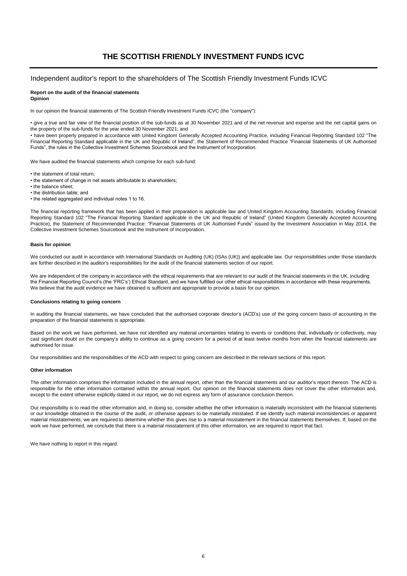## Independent auditor's report to the shareholders of The Scottish Friendly Investment Funds ICVC

## **Report on the audit of the financial statements**

**Opinion**

In our opinion the financial statements of The Scottish Friendly Investment Funds ICVC (the "company"):

• give a true and fair view of the financial position of the sub-funds as at 30 November 2021 and of the net revenue and expense and the net capital gains on the property of the sub-funds for the year ended 30 November 2021; and

• have been properly prepared in accordance with United Kingdom Generally Accepted Accounting Practice, including Financial Reporting Standard 102 "The Financial Reporting Standard applicable in the UK and Republic of Ireland", the Statement of Recommended Practice "Financial Statements of UK Authorised Funds", the rules in the Collective Investment Schemes Sourcebook and the Instrument of Incorporation.

We have audited the financial statements which comprise for each sub-fund:

- the statement of total return;
- the statement of change in net assets attributable to shareholders;
- the balance sheet;
- the distribution table; and
- the related aggregated and individual notes 1 to 16.

The financial reporting framework that has been applied in their preparation is applicable law and United Kingdom Accounting Standards, including Financial Reporting Standard 102 "The Financial Reporting Standard applicable in the UK and Republic of Ireland" (United Kingdom Generally Accepted Accounting Practice), the Statement of Recommended Practice: "Financial Statements of UK Authorised Funds" issued by the Investment Association in May 2014, the Collective Investment Schemes Sourcebook and the Instrument of Incorporation.

#### **Basis for opinion**

We conducted our audit in accordance with International Standards on Auditing (UK) (ISAs (UK)) and applicable law. Our responsibilities under those standards are further described in the auditor's responsibilities for the audit of the financial statements section of our report.

We are independent of the company in accordance with the ethical requirements that are relevant to our audit of the financial statements in the UK, including the Financial Reporting Council's (the 'FRC's') Ethical Standard, and we have fulfilled our other ethical responsibilities in accordance with these requirements. We believe that the audit evidence we have obtained is sufficient and appropriate to provide a basis for our opinion.

#### **Conclusions relating to going concern**

In auditing the financial statements, we have concluded that the authorised corporate director's (ACD's) use of the going concern basis of accounting in the preparation of the financial statements is appropriate.

Based on the work we have performed, we have not identified any material uncertainties relating to events or conditions that, individually or collectively, may cast significant doubt on the company's ability to continue as a going concern for a period of at least twelve months from when the financial statements are authorised for issue.

Our responsibilities and the responsibilities of the ACD with respect to going concern are described in the relevant sections of this report.

#### **Other information**

The other information comprises the information included in the annual report, other than the financial statements and our auditor's report thereon. The ACD is responsible for the other information contained within the annual report. Our opinion on the financial statements does not cover the other information and, except to the extent otherwise explicitly stated in our report, we do not express any form of assurance conclusion thereon.

Our responsibility is to read the other information and, in doing so, consider whether the other information is materially inconsistent with the financial statements or our knowledge obtained in the course of the audit, or otherwise appears to be materially misstated. If we identify such material inconsistencies or apparent material misstatements, we are required to determine whether this gives rise to a material misstatement in the financial statements themselves. If, based on the work we have performed, we conclude that there is a material misstatement of this other information, we are required to report that fact.

We have nothing to report in this regard.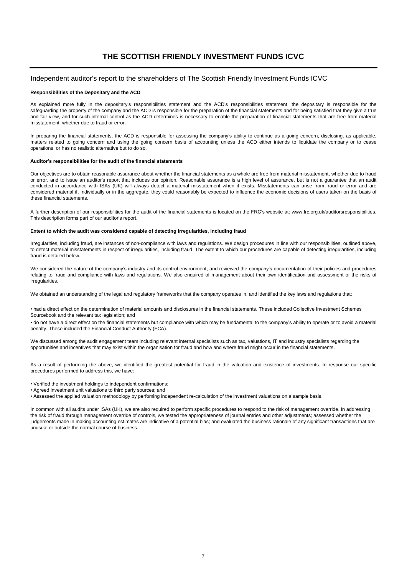## Independent auditor's report to the shareholders of The Scottish Friendly Investment Funds ICVC

#### **Responsibilities of the Depositary and the ACD**

As explained more fully in the depositary's responsibilities statement and the ACD's responsibilities statement, the depositary is responsible for the safeguarding the property of the company and the ACD is responsible for the preparation of the financial statements and for being satisfied that they give a true and fair view, and for such internal control as the ACD determines is necessary to enable the preparation of financial statements that are free from material misstatement, whether due to fraud or error.

In preparing the financial statements, the ACD is responsible for assessing the company's ability to continue as a going concern, disclosing, as applicable, matters related to going concern and using the going concern basis of accounting unless the ACD either intends to liquidate the company or to cease operations, or has no realistic alternative but to do so.

#### **Auditor's responsibilities for the audit of the financial statements**

Our objectives are to obtain reasonable assurance about whether the financial statements as a whole are free from material misstatement, whether due to fraud or error, and to issue an auditor's report that includes our opinion. Reasonable assurance is a high level of assurance, but is not a guarantee that an audit conducted in accordance with ISAs (UK) will always detect a material misstatement when it exists. Misstatements can arise from fraud or error and are considered material if, individually or in the aggregate, they could reasonably be expected to influence the economic decisions of users taken on the basis of these financial statements.

[A](http://www.frc.org.uk/auditorsresponsibilities) [further](http://www.frc.org.uk/auditorsresponsibilities) [description](http://www.frc.org.uk/auditorsresponsibilities) of our [responsibilities](http://www.frc.org.uk/auditorsresponsibilities) for the audit of the financial statements is located on the FRC's website at: www.frc.org.uk/auditorsresponsibilities. [This descr](http://www.frc.org.uk/auditorsresponsibilities)iption forms part of our auditor's report.

#### **Extent to which the audit was considered capable of detecting irregularities, including fraud**

Irregularities, including fraud, are instances of non-compliance with laws and regulations. We design procedures in line with our responsibilities, outlined above, to detect material misstatements in respect of irregularities, including fraud. The extent to which our procedures are capable of detecting irregularities, including fraud is detailed below.

We considered the nature of the company's industry and its control environment, and reviewed the company's documentation of their policies and procedures relating to fraud and compliance with laws and regulations. We also enquired of management about their own identification and assessment of the risks of irregularities.

We obtained an understanding of the legal and regulatory frameworks that the company operates in, and identified the key laws and regulations that:

• had a direct effect on the determination of material amounts and disclosures in the financial statements. These included Collective Investment Schemes Sourcebook and the relevant tax legislation; and

• do not have a direct effect on the financial statements but compliance with which may be fundamental to the company's ability to operate or to avoid a material penalty. These included the Financial Conduct Authority (FCA).

We discussed among the audit engagement team including relevant internal specialists such as tax, valuations, IT and industry specialists regarding the opportunities and incentives that may exist within the organisation for fraud and how and where fraud might occur in the financial statements.

As a result of performing the above, we identified the greatest potential for fraud in the valuation and existence of investments. In response our specific procedures performed to address this, we have:

• Verified the investment holdings to independent confirmations;

• Agreed investment unit valuations to third party sources; and

• Assessed the applied valuation methodology by perfoming independent re-calculation of the investment valuations on a sample basis.

In common with all audits under ISAs (UK), we are also required to perform specific procedures to respond to the risk of management override. In addressing the risk of fraud through management override of controls, we tested the appropriateness of journal entries and other adjustments; assessed whether the judgements made in making accounting estimates are indicative of a potential bias; and evaluated the business rationale of any significant transactions that are unusual or outside the normal course of business.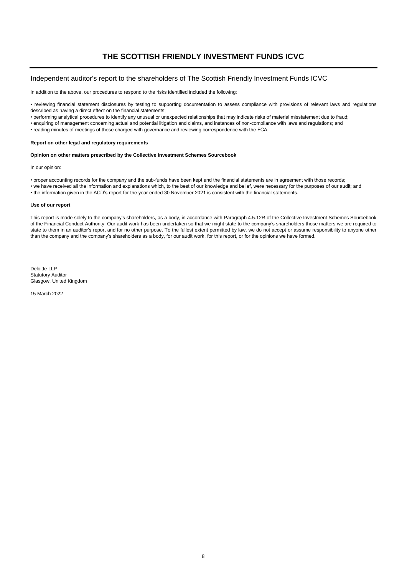## Independent auditor's report to the shareholders of The Scottish Friendly Investment Funds ICVC

In addition to the above, our procedures to respond to the risks identified included the following:

• reviewing financial statement disclosures by testing to supporting documentation to assess compliance with provisions of relevant laws and regulations described as having a direct effect on the financial statements;

• performing analytical procedures to identify any unusual or unexpected relationships that may indicate risks of material misstatement due to fraud;

• enquiring of management concerning actual and potential litigation and claims, and instances of non-compliance with laws and regulations; and

• reading minutes of meetings of those charged with governance and reviewing correspondence with the FCA.

### **Report on other legal and regulatory requirements**

#### **Opinion on other matters prescribed by the Collective Investment Schemes Sourcebook**

In our opinion:

• proper accounting records for the company and the sub-funds have been kept and the financial statements are in agreement with those records;

• we have received all the information and explanations which, to the best of our knowledge and belief, were necessary for the purposes of our audit; and • the information given in the ACD's report for the year ended 30 November 2021 is consistent with the financial statements.

#### **Use of our report**

This report is made solely to the company's shareholders, as a body, in accordance with Paragraph 4.5.12R of the Collective Investment Schemes Sourcebook of the Financial Conduct Authority. Our audit work has been undertaken so that we might state to the company's shareholders those matters we are required to state to them in an auditor's report and for no other purpose. To the fullest extent permitted by law, we do not accept or assume responsibility to anyone other than the company and the company's shareholders as a body, for our audit work, for this report, or for the opinions we have formed.

Deloitte LLP Statutory Auditor Glasgow, United Kingdom

15 March 2022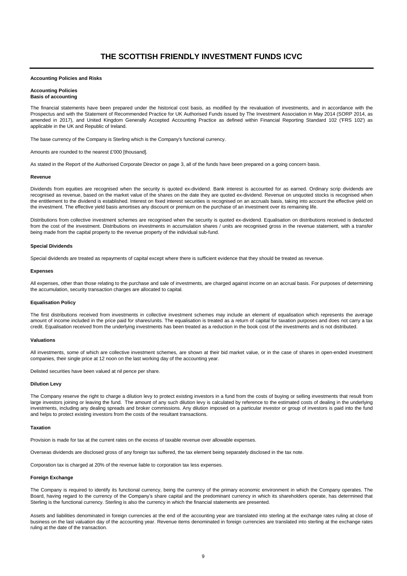#### **Accounting Policies and Risks**

#### **Accounting Policies Basis of accounting**

The financial statements have been prepared under the historical cost basis, as modified by the revaluation of investments, and in accordance with the Prospectus and with the Statement of Recommended Practice for UK Authorised Funds issued by The Investment Association in May 2014 (SORP 2014, as amended in 2017), and United Kingdom Generally Accepted Accounting Practice as defined within Financial Reporting Standard 102 ('FRS 102') as applicable in the UK and Republic of Ireland.

The base currency of the Company is Sterling which is the Company's functional currency.

Amounts are rounded to the nearest £'000 [thousand].

As stated in the Report of the Authorised Corporate Director on page 3, all of the funds have been prepared on a going concern basis.

#### **Revenue**

Dividends from equities are recognised when the security is quoted ex-dividend. Bank interest is accounted for as earned. Ordinary scrip dividends are recognised as revenue, based on the market value of the shares on the date they are quoted ex-dividend. Revenue on unquoted stocks is recognised when the entitlement to the dividend is established. Interest on fixed interest securities is recognised on an accruals basis, taking into account the effective yield on the investment. The effective yield basis amortises any discount or premium on the purchase of an investment over its remaining life.

Distributions from collective investment schemes are recognised when the security is quoted ex-dividend. Equalisation on distributions received is deducted from the cost of the investment. Distributions on investments in accumulation shares / units are recognised gross in the revenue statement, with a transfer being made from the capital property to the revenue property of the individual sub-fund.

#### **Special Dividends**

Special dividends are treated as repayments of capital except where there is sufficient evidence that they should be treated as revenue.

#### **Expenses**

All expenses, other than those relating to the purchase and sale of investments, are charged against income on an accrual basis. For purposes of determining the accumulation, security transaction charges are allocated to capital.

#### **Equalisation Policy**

The first distributions received from investments in collective investment schemes may include an element of equalisation which represents the average amount of income included in the price paid for shares/units. The equalisation is treated as a return of capital for taxation purposes and does not carry a tax credit. Equalisation received from the underlying investments has been treated as a reduction in the book cost of the investments and is not distributed.

### **Valuations**

All investments, some of which are collective investment schemes, are shown at their bid market value, or in the case of shares in open-ended investment companies, their single price at 12 noon on the last working day of the accounting year.

Delisted securities have been valued at nil pence per share.

#### **Dilution Levy**

The Company reserve the right to charge a dilution levy to protect existing investors in a fund from the costs of buying or selling investments that result from large investors joining or leaving the fund. The amount of any such dilution levy is calculated by reference to the estimated costs of dealing in the underlying investments, including any dealing spreads and broker commissions. Any dilution imposed on a particular investor or group of investors is paid into the fund and helps to protect existing investors from the costs of the resultant transactions.

#### **Taxation**

Provision is made for tax at the current rates on the excess of taxable revenue over allowable expenses.

Overseas dividends are disclosed gross of any foreign tax suffered, the tax element being separately disclosed in the tax note.

Corporation tax is charged at 20% of the revenue liable to corporation tax less expenses.

#### **Foreign Exchange**

The Company is required to identify its functional currency, being the currency of the primary economic environment in which the Company operates. The Board, having regard to the currency of the Company's share capital and the predominant currency in which its shareholders operate, has determined that Sterling is the functional currency. Sterling is also the currency in which the financial statements are presented.

Assets and liabilities denominated in foreign currencies at the end of the accounting year are translated into sterling at the exchange rates ruling at close of business on the last valuation day of the accounting year. Revenue items denominated in foreign currencies are translated into sterling at the exchange rates ruling at the date of the transaction.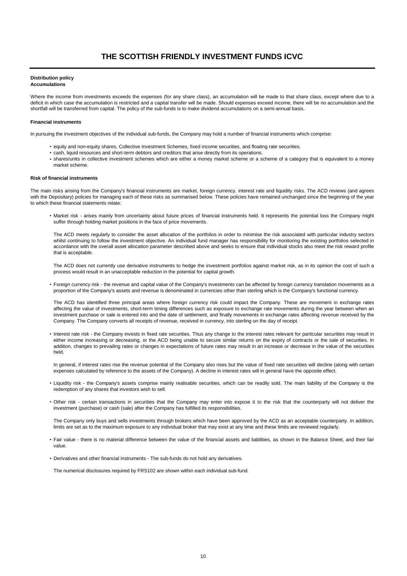#### **Distribution policy Accumulations**

Where the income from investments exceeds the expenses (for any share class), an accumulation will be made to that share class, except where due to a deficit in which case the accumulation is restricted and a capital transfer will be made. Should expenses exceed income, there will be no accumulation and the shortfall will be transferred from capital. The policy of the sub-funds is to make dividend accumulations on a semi-annual basis.

#### **Financial instruments**

In pursuing the investment objectives of the individual sub-funds, the Company may hold a number of financial instruments which comprise:

- equity and non-equity shares, Collective Investment Schemes, fixed income securities, and floating rate securities.
- cash, liquid resources and short-term debtors and creditors that arise directly from its operations.
- shares/units in collective investment schemes which are either a money market scheme or a scheme of a category that is equivalent to a money market scheme.

#### **Risk of financial instruments**

The main risks arising from the Company's financial instruments are market, foreign currency, interest rate and liquidity risks. The ACD reviews (and agrees with the Depositary) policies for managing each of these risks as summarised below. These policies have remained unchanged since the beginning of the year to which these financial statements relate:

• Market risk - arises mainly from uncertainty about future prices of financial instruments held. It represents the potential loss the Company might suffer through holding market positions in the face of price movements.

The ACD meets regularly to consider the asset allocation of the portfolios in order to minimise the risk associated with particular industry sectors whilst continuing to follow the investment objective. An individual fund manager has responsibility for monitoring the existing portfolios selected in accordance with the overall asset allocation parameter described above and seeks to ensure that individual stocks also meet the risk reward profile that is acceptable.

The ACD does not currently use derivative instruments to hedge the investment portfolios against market risk, as in its opinion the cost of such a process would result in an unacceptable reduction in the potential for capital growth.

• Foreign currency risk - the revenue and capital value of the Company's investments can be affected by foreign currency translation movements as a proportion of the Company's assets and revenue is denominated in currencies other than sterling which is the Company's functional currency.

The ACD has identified three principal areas where foreign currency risk could impact the Company. These are movement in exchange rates affecting the value of investments, short-term timing differences such as exposure to exchange rate movements during the year between when an investment purchase or sale is entered into and the date of settlement, and finally movements in exchange rates affecting revenue received by the Company. The Company converts all receipts of revenue, received in currency, into sterling on the day of receipt.

• Interest rate risk - the Company invests in fixed rate securities. Thus any change to the interest rates relevant for particular securities may result in either income increasing or decreasing, or the ACD being unable to secure similar returns on the expiry of contracts or the sale of securities. In addition, changes to prevailing rates or changes in expectations of future rates may result in an increase or decrease in the value of the securities held.

In general, if interest rates rise the revenue potential of the Company also rises but the value of fixed rate securities will decline (along with certain expenses calculated by reference to the assets of the Company). A decline in interest rates will in general have the opposite effect.

- Liquidity risk the Company's assets comprise mainly realisable securities, which can be readily sold. The main liability of the Company is the redemption of any shares that investors wish to sell.
- Other risk certain transactions in securities that the Company may enter into expose it to the risk that the counterparty will not deliver the investment (purchase) or cash (sale) after the Company has fulfilled its responsibilities.

The Company only buys and sells investments through brokers which have been approved by the ACD as an acceptable counterparty. In addition, limits are set as to the maximum exposure to any individual broker that may exist at any time and these limits are reviewed regularly.

- Fair value there is no material difference between the value of the financial assets and liabilities, as shown in the Balance Sheet, and their fair value.
- Derivatives and other financial instruments The sub-funds do not hold any derivatives.

The numerical disclosures required by FRS102 are shown within each individual sub-fund.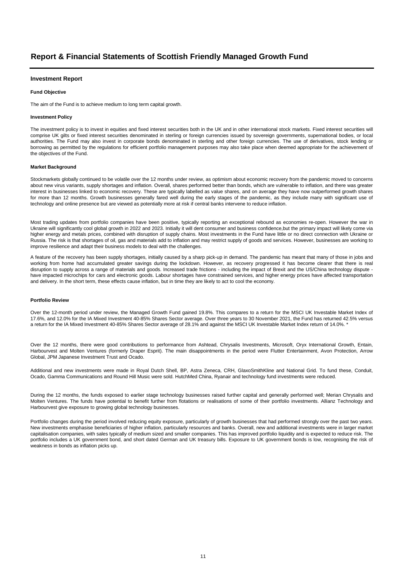## **Investment Report**

### **Fund Objective**

The aim of the Fund is to achieve medium to long term capital growth.

### **Investment Policy**

The investment policy is to invest in equities and fixed interest securities both in the UK and in other international stock markets. Fixed interest securities will comprise UK gilts or fixed interest securities denominated in sterling or foreign currencies issued by sovereign governments, supernational bodies, or local authorities. The Fund may also invest in corporate bonds denominated in sterling and other foreign currencies. The use of derivatives, stock lending or borrowing as permitted by the regulations for efficient portfolio management purposes may also take place when deemed appropriate for the achievement of the objectives of the Fund.

#### **Market Background**

Stockmarkets globally continued to be volatile over the 12 months under review, as optimism about economic recovery from the pandemic moved to concerns about new virus variants, supply shortages and inflation. Overall, shares performed better than bonds, which are vulnerable to inflation, and there was greater interest in businesses linked to economic recovery. These are typically labelled as value shares, and on average they have now outperformed growth shares for more than 12 months. Growth businesses generally fared well during the early stages of the pandemic, as they include many with significant use of technology and online presence but are viewed as potentially more at risk if central banks intervene to reduce inflation.

Most trading updates from portfolio companies have been positive, typically reporting an exceptional rebound as economies re-open. However the war in Ukraine will significantly cool global growth in 2022 and 2023. Initially it will dent consumer and business confidence,but the primary impact will likely come via higher energy and metals prices, combined with disruption of supply chains. Most investments in the Fund have little or no direct connection with Ukraine or Russia. The risk is that shortages of oil, gas and materials add to inflation and may restrict supply of goods and services. However, businesses are working to improve resilience and adapt their business models to deal with the challenges.

A feature of the recovery has been supply shortages, initially caused by a sharp pick-up in demand. The pandemic has meant that many of those in jobs and working from home had accumulated greater savings during the lockdown. However, as recovery progressed it has become clearer that there is real disruption to supply across a range of materials and goods. Increased trade frictions - including the impact of Brexit and the US/China technology dispute have impacted microchips for cars and electronic goods. Labour shortages have constrained services, and higher energy prices have affected transportation and delivery. In the short term, these effects cause inflation, but in time they are likely to act to cool the economy.

#### **Portfolio Review**

Over the 12-month period under review, the Managed Growth Fund gained 19.8%. This compares to a return for the MSCI UK Investable Market Index of 17.6%, and 12.0% for the IA Mixed Investment 40-85% Shares Sector average. Over three years to 30 November 2021, the Fund has returned 42.5% versus a return for the IA Mixed Investment 40-85% Shares Sector average of 28.1% and against the MSCI UK Investable Market Index return of 14.0%. \*

Over the 12 months, there were good contributions to performance from Ashtead, Chrysalis Investments, Microsoft, Oryx International Growth, Entain, Harbourvest and Molten Ventures (formerly Draper Esprit). The main disappointments in the period were Flutter Entertainment, Avon Protection, Arrow Global, JPM Japanese Investment Trust and Ocado.

Additional and new investments were made in Royal Dutch Shell, BP, Astra Zeneca, CRH, GlaxoSmithKline and National Grid. To fund these, Conduit, Ocado, Gamma Communications and Round Hill Music were sold. HutchMed China, Ryanair and technology fund investments were reduced.

During the 12 months, the funds exposed to earlier stage technology businesses raised further capital and generally performed well; Merian Chrysalis and Molten Ventures. The funds have potential to benefit further from flotations or realisations of some of their portfolio investments. Allianz Technology and Harbourvest give exposure to growing global technology businesses.

Portfolio changes during the period involved reducing equity exposure, particularly of growth businesses that had performed strongly over the past two years. New investments emphasise beneficiaries of higher inflation, particularly resources and banks. Overall, new and additional investments were in larger market capitalisation companies, with sales typically of medium sized and smaller companies. This has improved portfolio liquidity and is expected to reduce risk. The portfolio includes a UK government bond, and short dated German and UK treasury bills. Exposure to UK government bonds is low, recognising the risk of weakness in bonds as inflation picks up.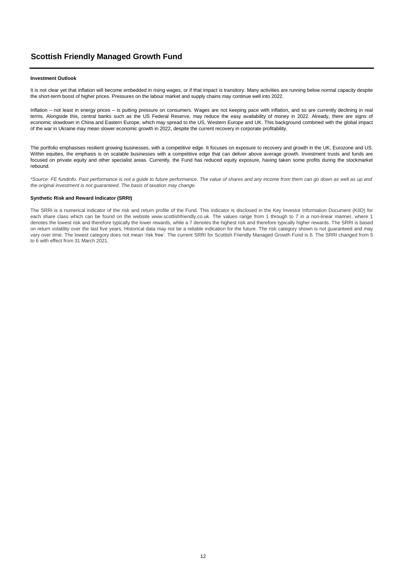#### **Investment Outlook**

It is not clear yet that inflation will become embedded in rising wages, or if that impact is transitory. Many activities are running below normal capacity despite the short-term boost of higher prices. Pressures on the labour market and supply chains may continue well into 2022.

Inflation – not least in energy prices – is putting pressure on consumers. Wages are not keeping pace with inflation, and so are currently declining in real terms. Alongside this, central banks such as the US Federal Reserve, may reduce the easy availability of money in 2022. Already, there are signs of economic slowdown in China and Eastern Europe, which may spread to the US, Western Europe and UK. This background combined with the global impact of the war in Ukraine may mean slower economic growth in 2022, despite the current recovery in corporate profitability.

The portfolio emphasises resilient growing businesses, with a competitive edge. It focuses on exposure to recovery and growth in the UK, Eurozone and US. Within equities, the emphasis is on scalable businesses with a competitive edge that can deliver above average growth. Investment trusts and funds are focused on private equity and other specialist areas. Currently, the Fund has reduced equity exposure, having taken some profits during the stockmarket rebound.

\*Source: FE fundinfo. Past performance is not a guide to future performance. The value of shares and any income from them can go down as well as up and *the original investment is not guaranteed. The basis of taxation may change.*

### **Synthetic Risk and Reward Indicator (SRRI)**

The SRRI is a numerical indicator of the risk and return profile of the Fund. This indicator is disclosed in the Key Investor Information Document (KIID) for each share class which can be found on the website www.scottishfriendly.co.uk. The values range from 1 through to 7 in a non-linear manner, where 1 denotes the lowest risk and therefore typically the lower rewards, while a 7 denotes the highest risk and therefore typically higher rewards. The SRRI is based on return volatility over the last five years. Historical data may not be a reliable indication for the future. The risk category shown is not guaranteed and may vary over time. The lowest category does not mean 'risk free'. The current SRRI for Scottish Friendly Managed Growth Fund is 6. The SRRI changed from 5 to 6 with effect from 31 March 2021.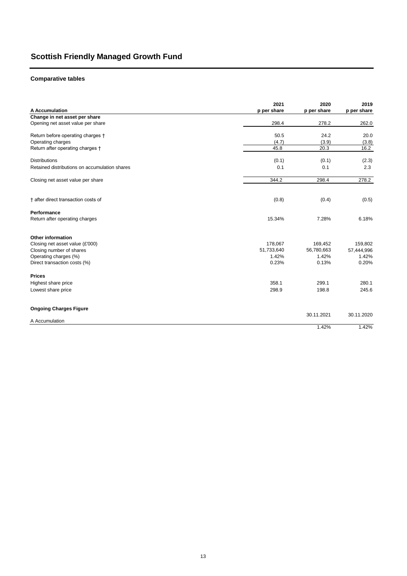## **Comparative tables**

|                                               | 2021        | 2020        | 2019        |
|-----------------------------------------------|-------------|-------------|-------------|
| A Accumulation                                | p per share | p per share | p per share |
| Change in net asset per share                 |             |             |             |
| Opening net asset value per share             | 298.4       | 278.2       | 262.0       |
| Return before operating charges +             | 50.5        | 24.2        | 20.0        |
| Operating charges                             | (4.7)       | (3.9)       | (3.8)       |
| Return after operating charges +              | 45.8        | 20.3        | 16.2        |
| <b>Distributions</b>                          | (0.1)       | (0.1)       | (2.3)       |
| Retained distributions on accumulation shares | 0.1         | 0.1         | 2.3         |
| Closing net asset value per share             | 344.2       | 298.4       | 278.2       |
|                                               |             |             |             |
| † after direct transaction costs of           | (0.8)       | (0.4)       | (0.5)       |
| Performance                                   |             |             |             |
| Return after operating charges                | 15.34%      | 7.28%       | 6.18%       |
| <b>Other information</b>                      |             |             |             |
| Closing net asset value (£'000)               | 178,067     | 169,452     | 159,802     |
| Closing number of shares                      | 51,733,640  | 56,780,663  | 57,444,996  |
| Operating charges (%)                         | 1.42%       | 1.42%       | 1.42%       |
| Direct transaction costs (%)                  | 0.23%       | 0.13%       | 0.20%       |
| <b>Prices</b>                                 |             |             |             |
| Highest share price                           | 358.1       | 299.1       | 280.1       |
| Lowest share price                            | 298.9       | 198.8       | 245.6       |
| <b>Ongoing Charges Figure</b>                 |             |             |             |
|                                               |             | 30.11.2021  | 30.11.2020  |
| A Accumulation                                |             |             |             |
|                                               |             | 1.42%       | 1.42%       |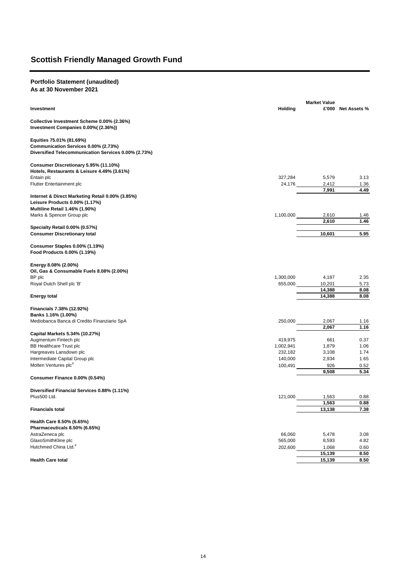## **Portfolio Statement (unaudited) As at 30 November 2021**

| Investment                                                                                                               | Holding           | <b>Market Value</b><br>£'000 | <b>Net Assets %</b> |
|--------------------------------------------------------------------------------------------------------------------------|-------------------|------------------------------|---------------------|
| Collective Investment Scheme 0.00% (2.36%)<br>Investment Companies 0.00% ((2.36%))                                       |                   |                              |                     |
| Equities 75.01% (81.69%)<br>Communication Services 0.00% (2.73%)<br>Diversified Telecommunication Services 0.00% (2.73%) |                   |                              |                     |
| Consumer Discretionary 5.95% (11.10%)                                                                                    |                   |                              |                     |
| Hotels, Restaurants & Leisure 4.49% (3.61%)<br>Entain plc                                                                | 327,284           | 5,579                        | 3.13                |
| Flutter Entertainment plc                                                                                                | 24,176            | 2,412                        | 1.36                |
| Internet & Direct Marketing Retail 0.00% (3.85%)<br>Leisure Products 0.00% (1.17%)                                       |                   | 7,991                        | 4.49                |
| Multiline Retail 1.46% (1.90%)<br>Marks & Spencer Group plc                                                              | 1,100,000         | 2,610                        | 1.46                |
|                                                                                                                          |                   | 2,610                        | 1.46                |
| Specialty Retail 0.00% (0.57%)                                                                                           |                   |                              |                     |
| <b>Consumer Discretionary total</b>                                                                                      |                   | 10,601                       | 5.95                |
| Consumer Staples 0.00% (1.19%)<br>Food Products 0.00% (1.19%)                                                            |                   |                              |                     |
| Energy 8.08% (2.00%)                                                                                                     |                   |                              |                     |
| Oil, Gas & Consumable Fuels 8.08% (2.00%)                                                                                |                   |                              |                     |
| BP plc                                                                                                                   | 1,300,000         | 4,187                        | 2.35                |
| Royal Dutch Shell plc 'B'                                                                                                | 655,000           | 10,201                       | 5.73                |
| <b>Energy total</b>                                                                                                      |                   | 14,388<br>14,388             | 8.08<br>8.08        |
|                                                                                                                          |                   |                              |                     |
| Financials 7.38% (12.92%)                                                                                                |                   |                              |                     |
| Banks 1.16% (1.00%)<br>Mediobanca Banca di Credito Finanziario SpA                                                       | 250,000           | 2,067                        | 1.16                |
|                                                                                                                          |                   | 2,067                        | 1.16                |
| Capital Markets 5.34% (10.27%)                                                                                           |                   |                              |                     |
| Augmentum Fintech plc                                                                                                    | 419,975           | 661                          | 0.37                |
| <b>BB Healthcare Trust plc</b>                                                                                           | 1,002,941         | 1,879                        | 1.06                |
| Hargreaves Lansdown plc                                                                                                  | 232,182           | 3,108                        | 1.74                |
| Intermediate Capital Group plc<br>Molten Ventures plc <sup>#</sup>                                                       | 140,000           | 2,934                        | 1.65                |
|                                                                                                                          | 100,491           | 926<br>9,508                 | 0.52<br>5.34        |
| Consumer Finance 0.00% (0.54%)                                                                                           |                   |                              |                     |
| Diversified Financial Services 0.88% (1.11%)                                                                             |                   |                              |                     |
| Plus500 Ltd.                                                                                                             | 121,000           | 1,563                        | 0.88                |
| <b>Financials total</b>                                                                                                  |                   | 1,563<br>13,138              | 0.88<br>7.38        |
|                                                                                                                          |                   |                              |                     |
| Health Care 8.50% (6.65%)                                                                                                |                   |                              |                     |
| Pharmaceuticals 8.50% (6.65%)                                                                                            |                   |                              |                     |
| AstraZeneca plc<br>GlaxoSmithKline plc                                                                                   | 66,060<br>565,000 | 5,478<br>8,593               | 3.08<br>4.82        |
| Hutchmed China Ltd. <sup>#</sup>                                                                                         | 202,600           | 1,068                        | 0.60                |
|                                                                                                                          |                   | 15,139                       | 8.50                |
| <b>Health Care total</b>                                                                                                 |                   | 15,139                       | 8.50                |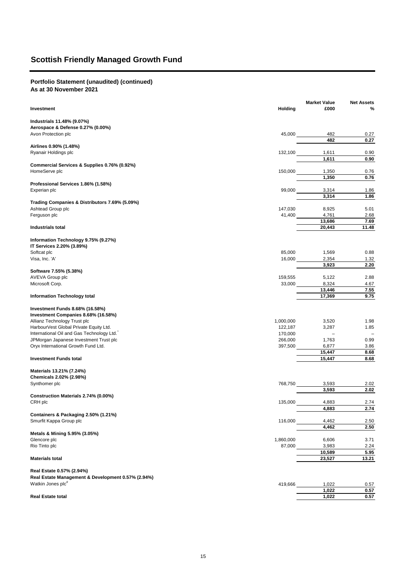## **Portfolio Statement (unaudited) (continued) As at 30 November 2021**

| Investment                                                          | Holding   | <b>Market Value</b><br>£000 | <b>Net Assets</b><br>% |
|---------------------------------------------------------------------|-----------|-----------------------------|------------------------|
| Industrials 11.48% (9.07%)                                          |           |                             |                        |
| Aerospace & Defense 0.27% (0.00%)                                   |           |                             |                        |
| Avon Protection plc                                                 | 45,000    | 482<br>482                  | 0.27<br>0.27           |
| Airlines 0.90% (1.48%)                                              |           |                             |                        |
| Ryanair Holdings plc                                                | 132,100   | 1,611                       | 0.90                   |
|                                                                     |           | 1,611                       | 0.90                   |
| Commercial Services & Supplies 0.76% (0.92%)                        |           |                             |                        |
| HomeServe plc                                                       | 150,000   | 1,350                       | 0.76                   |
|                                                                     |           | 1,350                       | 0.76                   |
| Professional Services 1.86% (1.58%)                                 |           |                             |                        |
| Experian plc                                                        | 99,000    | 3,314                       | 1.86                   |
|                                                                     |           | 3,314                       | 1.86                   |
| Trading Companies & Distributors 7.69% (5.09%)<br>Ashtead Group plc | 147,030   | 8,925                       | 5.01                   |
| Ferguson plc                                                        | 41,400    | 4,761                       | 2.68                   |
|                                                                     |           | 13,686                      | 7.69                   |
| Industrials total                                                   |           | 20,443                      | 11.48                  |
|                                                                     |           |                             |                        |
| Information Technology 9.75% (9.27%)                                |           |                             |                        |
| IT Services 2.20% (3.89%)                                           |           |                             |                        |
| Softcat plc                                                         | 85,000    | 1,569                       | 0.88                   |
| Visa, Inc. 'A'                                                      | 16,000    | 2,354                       | 1.32                   |
|                                                                     |           | 3,923                       | 2.20                   |
| Software 7.55% (5.38%)                                              |           |                             |                        |
| <b>AVEVA Group plc</b>                                              | 159,555   | 5,122                       | 2.88                   |
| Microsoft Corp.                                                     | 33,000    | 8,324<br>13,446             | 4.67<br>7.55           |
| Information Technology total                                        |           | 17,369                      | 9.75                   |
|                                                                     |           |                             |                        |
| Investment Funds 8.68% (16.58%)                                     |           |                             |                        |
| Investment Companies 8.68% (16.58%)                                 |           |                             |                        |
| Allianz Technology Trust plc                                        | 1,000,000 | 3,520                       | 1.98                   |
| HarbourVest Global Private Equity Ltd.                              | 122,187   | 3,287                       | 1.85                   |
| International Oil and Gas Technology Ltd.                           | 170,000   |                             |                        |
| JPMorgan Japanese Investment Trust plc                              | 266,000   | 1,763                       | 0.99                   |
| Oryx International Growth Fund Ltd.                                 | 397,500   | 6,877                       | 3.86                   |
| <b>Investment Funds total</b>                                       |           | 15,447<br>15,447            | 8.68<br>8.68           |
|                                                                     |           |                             |                        |
| Materials 13.21% (7.24%)                                            |           |                             |                        |
| Chemicals 2.02% (2.98%)                                             |           |                             |                        |
| Synthomer plc                                                       | 768,750   | 3,593                       | 2.02                   |
|                                                                     |           | 3,593                       | 2.02                   |
| Construction Materials 2.74% (0.00%)                                |           |                             |                        |
| CRH plc                                                             | 135,000   | 4,883                       | 2.74                   |
|                                                                     |           | 4,883                       | 2.74                   |
| Containers & Packaging 2.50% (1.21%)                                |           |                             |                        |
| Smurfit Kappa Group plc                                             | 116,000   | 4,462                       | 2.50                   |
|                                                                     |           | 4,462                       | 2.50                   |
| Metals & Mining 5.95% (3.05%)<br>Glencore plc                       | 1,860,000 | 6,606                       | 3.71                   |
| Rio Tinto plc                                                       | 87,000    | 3,983                       | 2.24                   |
|                                                                     |           | 10,589                      | 5.95                   |
| <b>Materials total</b>                                              |           | 23,527                      | 13.21                  |
|                                                                     |           |                             |                        |
| Real Estate 0.57% (2.94%)                                           |           |                             |                        |
| Real Estate Management & Development 0.57% (2.94%)                  |           |                             |                        |
| Watkin Jones plc <sup>#</sup>                                       | 419,666   | 1,022                       | 0.57                   |
|                                                                     |           | 1,022                       | 0.57                   |
| Real Estate total                                                   |           | 1,022                       | 0.57                   |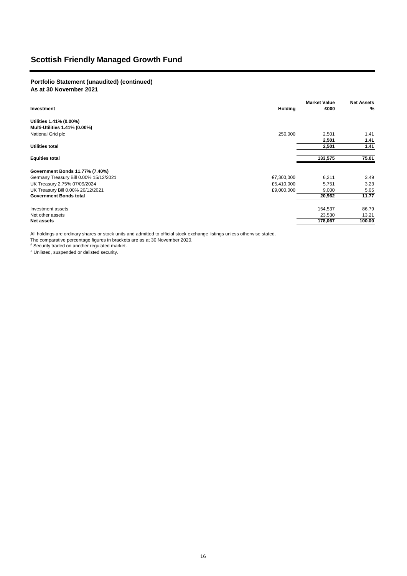## **Portfolio Statement (unaudited) (continued) As at 30 November 2021**

| Holding<br>Investment                                | <b>Market Value</b><br>£000 | <b>Net Assets</b><br>$\frac{9}{6}$ |
|------------------------------------------------------|-----------------------------|------------------------------------|
| Utilities 1.41% (0.00%)                              |                             |                                    |
| Multi-Utilities 1.41% (0.00%)                        |                             |                                    |
| National Grid plc<br>250,000                         | 2,501                       | 1.41                               |
|                                                      | 2,501                       | 1.41                               |
| <b>Utilities total</b>                               | 2,501                       | 1.41                               |
| <b>Equities total</b>                                | 133,575                     | 75.01                              |
| Government Bonds 11.77% (7.40%)                      |                             |                                    |
| Germany Treasury Bill 0.00% 15/12/2021<br>€7,300,000 | 6,211                       | 3.49                               |
| UK Treasury 2.75% 07/09/2024<br>£5,410,000           | 5,751                       | 3.23                               |
| UK Treasury Bill 0.00% 20/12/2021<br>£9,000,000      | 9,000                       | 5.05                               |
| <b>Government Bonds total</b>                        | 20,962                      | 11.77                              |
| Investment assets                                    | 154,537                     | 86.79                              |
| Net other assets                                     | 23,530                      | 13.21                              |
| <b>Net assets</b>                                    | 178,067                     | 100.00                             |

All holdings are ordinary shares or stock units and admitted to official stock exchange listings unless otherwise stated.

The comparative percentage figures in brackets are as at 30 November 2020. # Security traded on another regulated market.

^ Unlisted, suspended or delisted security.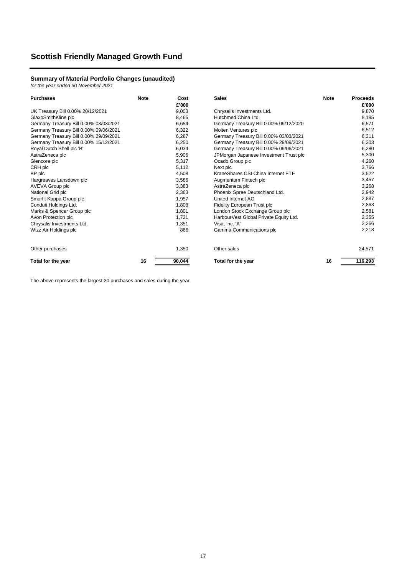## **Summary of Material Portfolio Changes (unaudited)**

*for the year ended 30 November 2021*

| <b>Purchases</b>                       | <b>Note</b> | Cost<br>£'000 | <b>Sales</b>                           | <b>Note</b> | <b>Proceeds</b><br>£'000 |
|----------------------------------------|-------------|---------------|----------------------------------------|-------------|--------------------------|
| UK Treasury Bill 0.00% 20/12/2021      |             | 9,003         | Chrysalis Investments Ltd.             |             | 9,870                    |
| GlaxoSmithKline plc                    |             | 8,465         | Hutchmed China Ltd.                    |             | 8,195                    |
| Germany Treasury Bill 0.00% 03/03/2021 |             | 6,654         | Germany Treasury Bill 0.00% 09/12/2020 |             | 6,571                    |
| Germany Treasury Bill 0.00% 09/06/2021 |             | 6,322         | Molten Ventures plc                    |             | 6,512                    |
| Germany Treasury Bill 0.00% 29/09/2021 |             | 6,287         | Germany Treasury Bill 0.00% 03/03/2021 |             | 6,311                    |
| Germany Treasury Bill 0.00% 15/12/2021 |             | 6,250         | Germany Treasury Bill 0.00% 29/09/2021 |             | 6,303                    |
| Royal Dutch Shell plc 'B'              |             | 6,034         | Germany Treasury Bill 0.00% 09/06/2021 |             | 6,280                    |
| AstraZeneca plc                        |             | 5,906         | JPMorgan Japanese Investment Trust plc |             | 5,300                    |
| Glencore plc                           |             | 5,317         | Ocado Group plc                        |             | 4,260                    |
| CRH plc                                |             | 5,112         | Next plc                               |             | 3,766                    |
| BP plc                                 |             | 4,508         | KraneShares CSI China Internet ETF     |             | 3,522                    |
| Hargreaves Lansdown plc                |             | 3,586         | Augmentum Fintech plc                  |             | 3,457                    |
| AVEVA Group plc                        |             | 3,383         | AstraZeneca plc                        |             | 3,268                    |
| National Grid plc                      |             | 2,363         | Phoenix Spree Deutschland Ltd.         |             | 2,942                    |
| Smurfit Kappa Group plc                |             | 1,957         | United Internet AG                     |             | 2,887                    |
| Conduit Holdings Ltd.                  |             | 1,808         | Fidelity European Trust plc            |             | 2,863                    |
| Marks & Spencer Group plc              |             | 1,801         | London Stock Exchange Group plc        |             | 2,581                    |
| Avon Protection plc                    |             | 1,721         | HarbourVest Global Private Equity Ltd. |             | 2,355                    |
| Chrysalis Investments Ltd.             |             | 1,351         | Visa. Inc. 'A'                         |             | 2,266                    |
| Wizz Air Holdings plc                  |             | 866           | Gamma Communications plc               |             | 2,213                    |
| Other purchases                        |             | 1,350         | Other sales                            |             | 24,571                   |
| Total for the year                     | 16          | 90,044        | Total for the year                     | 16          | 116,293                  |

The above represents the largest 20 purchases and sales during the year.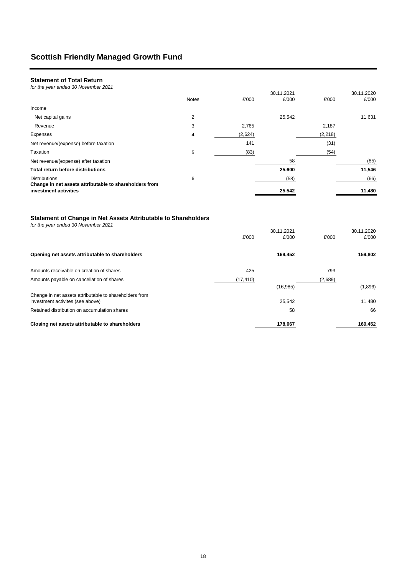## **Statement of Total Return**

*for the year ended 30 November 2021*

|                                                                                 |                |         | 30.11.2021 |          | 30.11.2020 |
|---------------------------------------------------------------------------------|----------------|---------|------------|----------|------------|
|                                                                                 | <b>Notes</b>   | £'000   | £'000      | £'000    | £'000      |
| Income                                                                          |                |         |            |          |            |
| Net capital gains                                                               | $\overline{2}$ |         | 25,542     |          | 11,631     |
| Revenue                                                                         | 3              | 2,765   |            | 2,187    |            |
| Expenses                                                                        | 4              | (2,624) |            | (2, 218) |            |
| Net revenue/(expense) before taxation                                           |                | 141     |            | (31)     |            |
| Taxation                                                                        | 5              | (83)    |            | (54)     |            |
| Net revenue/(expense) after taxation                                            |                |         | 58         |          | (85)       |
| Total return before distributions                                               |                |         | 25,600     |          | 11,546     |
| <b>Distributions</b>                                                            | 6              |         | (58)       |          | (66)       |
| Change in net assets attributable to shareholders from<br>investment activities |                |         | 25,542     |          | 11,480     |

## **Statement of Change in Net Assets Attributable to Shareholders**

*for the year ended 30 November 2021*

|                                                        |           | 30.11.2021 |         | 30.11.2020 |
|--------------------------------------------------------|-----------|------------|---------|------------|
|                                                        | £'000     | £'000      | £'000   | £'000      |
| Opening net assets attributable to shareholders        |           | 169,452    |         | 159,802    |
| Amounts receivable on creation of shares               | 425       |            | 793     |            |
| Amounts payable on cancellation of shares              | (17, 410) |            | (2,689) |            |
|                                                        |           | (16, 985)  |         | (1,896)    |
| Change in net assets attributable to shareholders from |           |            |         |            |
| investment activites (see above)                       |           | 25,542     |         | 11,480     |
| Retained distribution on accumulation shares           |           | 58         |         | 66         |
| Closing net assets attributable to shareholders        |           | 178.067    |         | 169,452    |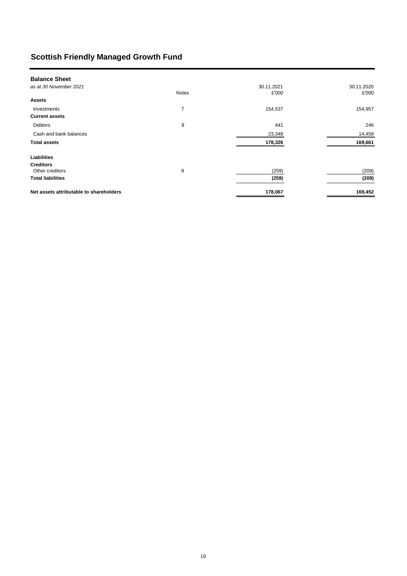| <b>Balance Sheet</b>                    |                |            |            |
|-----------------------------------------|----------------|------------|------------|
| as at 30 November 2021                  |                | 30.11.2021 | 30.11.2020 |
|                                         | <b>Notes</b>   | £'000      | £'000      |
| <b>Assets</b>                           |                |            |            |
| Investments                             | $\overline{7}$ | 154,537    | 154,957    |
| <b>Current assets</b>                   |                |            |            |
| Debtors                                 | 8              | 441        | 246        |
| Cash and bank balances                  |                | 23,348     | 14,458     |
| <b>Total assets</b>                     |                | 178,326    | 169,661    |
| Liabilities                             |                |            |            |
| <b>Creditors</b>                        |                |            |            |
| Other creditors                         | 9              | (259)      | (209)      |
| <b>Total liabilities</b>                |                | (259)      | (209)      |
| Net assets attributable to shareholders |                | 178,067    | 169,452    |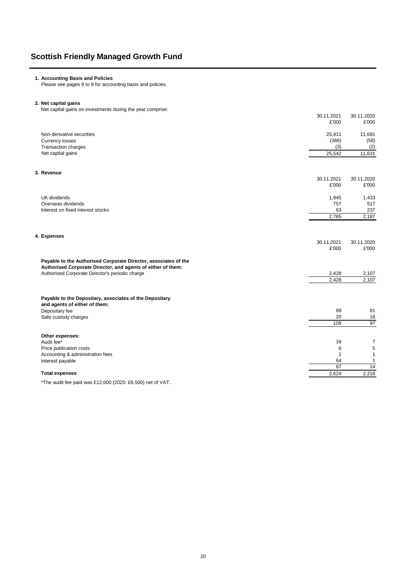## **1. Accounting Basis and Policies**

Please see pages 8 to 9 for accounting basis and policies.

## **2. Net capital gains**

Net capital gains on investments during the year comprise:

|                                                                                                                                 | 30.11.2021<br>£'000    | 30.11.2020<br>£'000   |
|---------------------------------------------------------------------------------------------------------------------------------|------------------------|-----------------------|
| Non-derivative securities<br><b>Currency losses</b><br><b>Transaction charges</b>                                               | 25,911<br>(366)<br>(3) | 11,691<br>(58)<br>(2) |
| Net capital gains                                                                                                               | 25,542                 | 11,631                |
| 3. Revenue                                                                                                                      |                        |                       |
|                                                                                                                                 | 30.11.2021<br>£'000    | 30.11.2020<br>£'000   |
| <b>UK</b> dividends                                                                                                             | 1,945                  | 1,433                 |
| Overseas dividends                                                                                                              | 757                    | 517                   |
| Interest on fixed interest stocks                                                                                               | 63                     | 237                   |
|                                                                                                                                 | 2,765                  | 2,187                 |
| 4. Expenses                                                                                                                     | 30.11.2021             | 30.11.2020            |
|                                                                                                                                 | £'000                  | £'000                 |
| Payable to the Authorised Corporate Director, associates of the<br>Authorised Corporate Director, and agents of either of them: |                        |                       |
| Authorised Corporate Director's periodic charge                                                                                 | 2,428                  | 2,107                 |
|                                                                                                                                 | 2.428                  | 2,107                 |
| Payable to the Depositary, associates of the Depositary<br>and agents of either of them:                                        |                        |                       |
| Depositary fee                                                                                                                  | 89                     | 81                    |
| Safe custody charges                                                                                                            | 20                     | 16                    |
|                                                                                                                                 | 109                    | 97                    |
| Other expenses:<br>Audit fee*                                                                                                   | 16                     | $\boldsymbol{7}$      |
| Price publication costs                                                                                                         | 6                      | 5                     |
| Accounting & administration fees                                                                                                | $\mathbf{1}$           | $\mathbf{1}$          |
| Interest payable                                                                                                                | 64                     | 1                     |
|                                                                                                                                 | $\overline{87}$        | 14                    |
| <b>Total expenses</b>                                                                                                           | 2,624                  | 2,218                 |

\*The audit fee paid was £12,000 (2020: £6,500) net of VAT.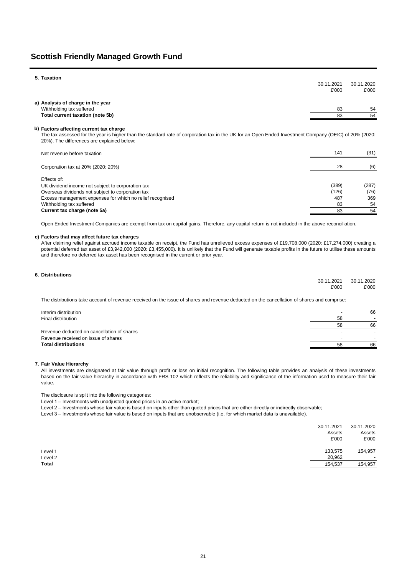## **5. Taxation**

|                                   | 30.11.2021 | 30.11.2020 |
|-----------------------------------|------------|------------|
|                                   | £'000      | £'000      |
| a) Analysis of charge in the year |            |            |
| Withholding tax suffered          | 83         | 54         |
| Total current taxation (note 5b)  | 83         | 54         |
|                                   |            |            |

#### **b) Factors affecting current tax charge**

The tax assessed for the year is higher than the standard rate of corporation tax in the UK for an Open Ended Investment Company (OEIC) of 20% (2020: 20%). The differences are explained below:

| Net revenue before taxation                                                                                                                                                                                                                    | 141                               | (31)                             |
|------------------------------------------------------------------------------------------------------------------------------------------------------------------------------------------------------------------------------------------------|-----------------------------------|----------------------------------|
| Corporation tax at 20% (2020: 20%)                                                                                                                                                                                                             | 28                                | (6)                              |
| Effects of:<br>UK dividend income not subject to corporation tax<br>Overseas dividends not subject to corporation tax<br>Excess management expenses for which no relief recognised<br>Withholding tax suffered<br>Current tax charge (note 5a) | (389)<br>(126)<br>487<br>83<br>83 | (287)<br>(76)<br>369<br>54<br>54 |

Open Ended Investment Companies are exempt from tax on capital gains. Therefore, any capital return is not included in the above reconciliation.

## **c) Factors that may affect future tax charges**

After claiming relief against accrued income taxable on receipt, the Fund has unrelieved excess expenses of £19,708,000 (2020: £17,274,000) creating a potential deferred tax asset of £3,942,000 (2020: £3,455,000). It is unlikely that the Fund will generate taxable profits in the future to utilise these amounts and therefore no deferred tax asset has been recognised in the current or prior year.

| <b>6. Distributions</b> |       |                       |
|-------------------------|-------|-----------------------|
|                         |       | 30.11.2021 30.11.2020 |
|                         | £'000 | £'000                 |
|                         |       |                       |

The distributions take account of revenue received on the issue of shares and revenue deducted on the cancellation of shares and comprise:

| Interim distribution                       |    | 66 |
|--------------------------------------------|----|----|
| Final distribution                         | 58 |    |
|                                            | 58 | 66 |
| Revenue deducted on cancellation of shares |    |    |
| Revenue received on issue of shares        |    |    |
|                                            |    |    |

#### **7. Fair Value Hierarchy**

All investments are designated at fair value through profit or loss on initial recognition. The following table provides an analysis of these investments based on the fair value hierarchy in accordance with FRS 102 which reflects the reliability and significance of the information used to measure their fair value.

The disclosure is split into the following categories:

Level 1 – Investments with unadjusted quoted prices in an active market;

Level 2 – Investments whose fair value is based on inputs other than quoted prices that are either directly or indirectly observable;

Level 3 – Investments whose fair value is based on inputs that are unobservable (i.e. for which market data is unavailable).

|                    | 30.11.2021<br>Assets<br>£'000 | 30.11.2020<br>Assets<br>£'000       |
|--------------------|-------------------------------|-------------------------------------|
| Level 1<br>Level 2 | 133,575<br>20,962             | 154,957<br>$\overline{\phantom{a}}$ |
| Total              | 154,537                       | 154,957                             |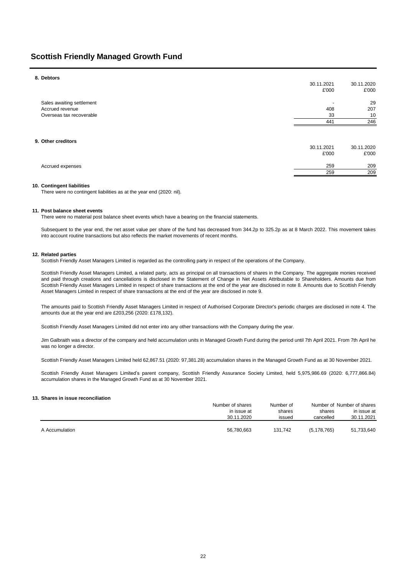## **8. Debtors**

| .                                                                        | 30.11.2021<br>£'000                   | 30.11.2020<br>£'000 |
|--------------------------------------------------------------------------|---------------------------------------|---------------------|
| Sales awaiting settlement<br>Accrued revenue<br>Overseas tax recoverable | $\overline{\phantom{0}}$<br>408<br>33 | 29<br>207<br>10     |
|                                                                          | 441                                   | 246                 |
| 9. Other creditors                                                       | 30.11.2021<br>£'000                   | 30.11.2020<br>£'000 |
| Accrued expenses                                                         | 259<br>259                            | 209<br>209          |

#### **10. Contingent liabilities**

There were no contingent liabilities as at the year end (2020: nil).

#### **11. Post balance sheet events**

There were no material post balance sheet events which have a bearing on the financial statements.

Subsequent to the year end, the net asset value per share of the fund has decreased from 344.2p to 325.2p as at 8 March 2022. This movement takes into account routine transactions but also reflects the market movements of recent months.

#### **12. Related parties**

Scottish Friendly Asset Managers Limited is regarded as the controlling party in respect of the operations of the Company.

Scottish Friendly Asset Managers Limited, a related party, acts as principal on all transactions of shares in the Company. The aggregate monies received and paid through creations and cancellations is disclosed in the Statement of Change in Net Assets Attributable to Shareholders. Amounts due from Scottish Friendly Asset Managers Limited in respect of share transactions at the end of the year are disclosed in note 8. Amounts due to Scottish Friendly Asset Managers Limited in respect of share transactions at the end of the year are disclosed in note 9.

The amounts paid to Scottish Friendly Asset Managers Limited in respect of Authorised Corporate Director's periodic charges are disclosed in note 4. The amounts due at the year end are £203,256 (2020: £178,132).

Scottish Friendly Asset Managers Limited did not enter into any other transactions with the Company during the year.

Jim Galbraith was a director of the company and held accumulation units in Managed Growth Fund during the period until 7th April 2021. From 7th April he was no longer a director.

Scottish Friendly Asset Managers Limited held 62,867.51 (2020: 97,381.28) accumulation shares in the Managed Growth Fund as at 30 November 2021.

Scottish Friendly Asset Managers Limited's parent company, Scottish Friendly Assurance Society Limited, held 5,975,986.69 (2020: 6,777,866.84) accumulation shares in the Managed Growth Fund as at 30 November 2021.

#### **13. Shares in issue reconciliation**

|                | Number of shares | Number of |             | Number of Number of shares |
|----------------|------------------|-----------|-------------|----------------------------|
|                | in issue at      | shares    | shares      | in issue at                |
|                | 30.11.2020       | issued    | cancelled   | 30.11.2021                 |
|                |                  |           |             |                            |
| A Accumulation | 56.780.663       | 131.742   | (5.178.765) | 51,733,640                 |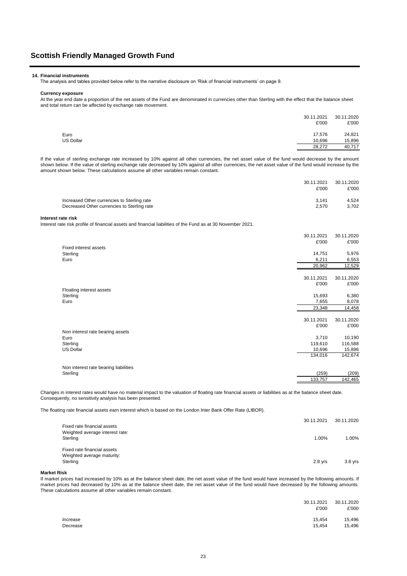### **14. Financial instruments**

The analysis and tables provided below refer to the narrative disclosure on 'Risk of financial instruments' on page 9.

#### **Currency exposure**

**Inte** 

At the year end date a proportion of the net assets of the Fund are denominated in currencies other than Sterling with the effect that the balance sheet and total return can be affected by exchange rate movement.

|                  | 30.11.2021<br>£'000 | 30.11.2020<br>£'000 |
|------------------|---------------------|---------------------|
| Euro             | 17,576              | 24,821              |
| <b>US Dollar</b> | 10.696              | 15,896              |
|                  | 28.272              | 40,717              |

If the value of sterling exchange rate increased by 10% against all other currencies, the net asset value of the fund would decrease by the amount shown below. If the value of sterling exchange rate decreased by 10% against all other currencies, the net asset value of the fund would increase by the amount shown below. These calculations assume all other variables remain constant.

|                    |                                                                                                              | 30.11.2021          | 30.11.2020          |
|--------------------|--------------------------------------------------------------------------------------------------------------|---------------------|---------------------|
|                    |                                                                                                              | £'000               | £'000               |
|                    | Increased Other currencies to Sterling rate                                                                  | 3,141               | 4,524               |
|                    | Decreased Other currencies to Sterling rate                                                                  | 2,570               | 3,702               |
| Interest rate risk |                                                                                                              |                     |                     |
|                    | Interest rate risk profile of financial assets and financial liabilities of the Fund as at 30 November 2021. |                     |                     |
|                    |                                                                                                              | 30.11.2021          | 30.11.2020          |
|                    | <b>Fixed interest assets</b>                                                                                 | £'000               | £'000               |
|                    | Sterling                                                                                                     | 14,751              | 5,976               |
|                    | Euro                                                                                                         | 6,211               | 6,553               |
|                    |                                                                                                              | 20,962              | 12,529              |
|                    |                                                                                                              | 30.11.2021          | 30.11.2020          |
|                    |                                                                                                              | £'000               | £'000               |
|                    | Floating interest assets                                                                                     |                     |                     |
|                    | Sterling<br>Euro                                                                                             | 15,693<br>7,655     | 6,380<br>8,078      |
|                    |                                                                                                              | 23,348              | 14,458              |
|                    |                                                                                                              |                     |                     |
|                    |                                                                                                              | 30.11.2021<br>£'000 | 30.11.2020<br>£'000 |
|                    | Non interest rate bearing assets                                                                             |                     |                     |
|                    | Euro                                                                                                         | 3,710               | 10,190              |
|                    | Sterling                                                                                                     | 119,610             | 116,588             |
|                    | <b>US Dollar</b>                                                                                             | 10,696              | 15,896              |
|                    |                                                                                                              | 134,016             | 142,674             |
|                    | Non interest rate bearing liabilities                                                                        |                     |                     |
|                    | Sterling                                                                                                     | (259)               | (209)               |
|                    |                                                                                                              | 133,757             | 142,465             |

Changes in interest rates would have no material impact to the valuation of floating rate financial assets or liabilities as at the balance sheet date. Consequently, no sensitivity analysis has been presented.

The floating rate financial assets earn interest which is based on the London Inter Bank Offer Rate (LIBOR).

| 30.11.2021                                                                          | 30.11.2020 |
|-------------------------------------------------------------------------------------|------------|
| Fixed rate financial assets<br>Weighted average interest rate:<br>1.00%<br>Sterling | 1.00%      |
| Fixed rate financial assets<br>Weighted average maturity:<br>Sterling<br>$2.8$ yrs  | $3.8$ yrs  |

**Market Risk**

If market prices had increased by 10% as at the balance sheet date, the net asset value of the fund would have increased by the following amounts. If market prices had decreased by 10% as at the balance sheet date, the net asset value of the fund would have decreased by the following amounts. These calculations assume all other variables remain constant.

|          | 30.11.2021 | 30.11.2020 |
|----------|------------|------------|
|          | £'000      | £'000      |
| Increase | 15.454     | 15,496     |
| Decrease | 15.454     | 15,496     |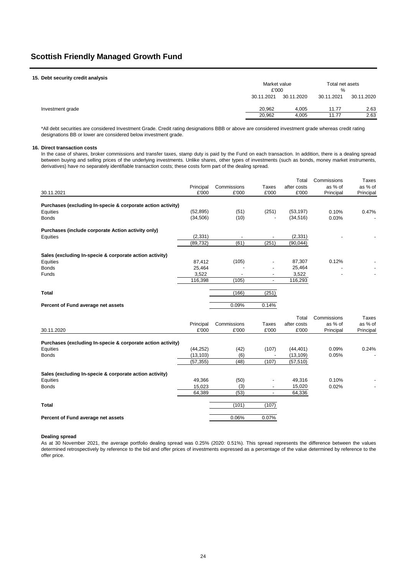## **15. Debt security credit analysis**

|                  |            | Market value<br>£'000 |            | Total net asets |
|------------------|------------|-----------------------|------------|-----------------|
|                  | 30.11.2021 | 30.11.2020            | 30.11.2021 | 30.11.2020      |
| Investment grade | 20.962     | 4.005                 | 11.77      | 2.63            |
|                  | 20.962     | 4.005                 | 11.77      | 2.63            |
|                  |            |                       |            |                 |

\*All debt securities are considered Investment Grade. Credit rating designations BBB or above are considered investment grade whereas credit rating designations BB or lower are considered below investment grade.

## **16. Direct transaction costs**

In the case of shares, broker commissions and transfer taxes, stamp duty is paid by the Fund on each transaction. In addition, there is a dealing spread between buying and selling prices of the underlying investments. Unlike shares, other types of investments (such as bonds, money market instruments, derivatives) have no separately identifiable transaction costs; these costs form part of the dealing spread.

|                                                             |           |             |                          | Total       | Commissions | <b>Taxes</b> |
|-------------------------------------------------------------|-----------|-------------|--------------------------|-------------|-------------|--------------|
|                                                             | Principal | Commissions | Taxes                    | after costs | as % of     | as % of      |
| 30.11.2021                                                  | £'000     | £'000       | £'000                    | £'000       | Principal   | Principal    |
| Purchases (excluding In-specie & corporate action activity) |           |             |                          |             |             |              |
| Equities                                                    | (52, 895) | (51)        | (251)                    | (53, 197)   | 0.10%       | 0.47%        |
| <b>Bonds</b>                                                | (34, 506) | (10)        | $\overline{\phantom{a}}$ | (34, 516)   | 0.03%       |              |
| Purchases (include corporate Action activity only)          |           |             |                          |             |             |              |
| Equities                                                    | (2, 331)  |             |                          | (2, 331)    |             |              |
|                                                             | (89, 732) | (61)        | (251)                    | (90, 044)   |             |              |
| Sales (excluding In-specie & corporate action activity)     |           |             |                          |             |             |              |
| Equities                                                    | 87,412    | (105)       |                          | 87,307      | 0.12%       |              |
| <b>Bonds</b>                                                | 25,464    |             |                          | 25,464      |             |              |
| Funds                                                       | 3,522     |             |                          | 3,522       |             |              |
|                                                             | 116,398   | (105)       | $\blacksquare$           | 116,293     |             |              |
| Total                                                       |           | (166)       | (251)                    |             |             |              |
|                                                             |           |             |                          |             |             |              |
| Percent of Fund average net assets                          |           | 0.09%       | 0.14%                    |             |             |              |
|                                                             |           |             |                          |             |             |              |

|                                                             |           |             |       | Total       | Commissions | Taxes     |
|-------------------------------------------------------------|-----------|-------------|-------|-------------|-------------|-----------|
|                                                             | Principal | Commissions | Taxes | after costs | as % of     | as % of   |
| 30.11.2020                                                  | £'000     | £'000       | £'000 | £'000       | Principal   | Principal |
| Purchases (excluding In-specie & corporate action activity) |           |             |       |             |             |           |
| Equities                                                    | (44, 252) | (42)        | (107) | (44, 401)   | 0.09%       | 0.24%     |
| <b>Bonds</b>                                                | (13, 103) | (6)         |       | (13, 109)   | 0.05%       |           |
|                                                             | (57, 355) | (48)        | (107) | (57, 510)   |             |           |
| Sales (excluding In-specie & corporate action activity)     |           |             |       |             |             |           |
| Equities                                                    | 49,366    | (50)        |       | 49,316      | 0.10%       |           |
| <b>Bonds</b>                                                | 15,023    | (3)         |       | 15,020      | 0.02%       |           |
|                                                             | 64,389    | (53)        |       | 64,336      |             |           |
| Total                                                       |           | (101)       | (107) |             |             |           |
| Percent of Fund average net assets                          |           | 0.06%       | 0.07% |             |             |           |

#### **Dealing spread**

As at 30 November 2021, the average portfolio dealing spread was 0.25% (2020: 0.51%). This spread represents the difference between the values determined retrospectively by reference to the bid and offer prices of investments expressed as a percentage of the value determined by reference to the offer price.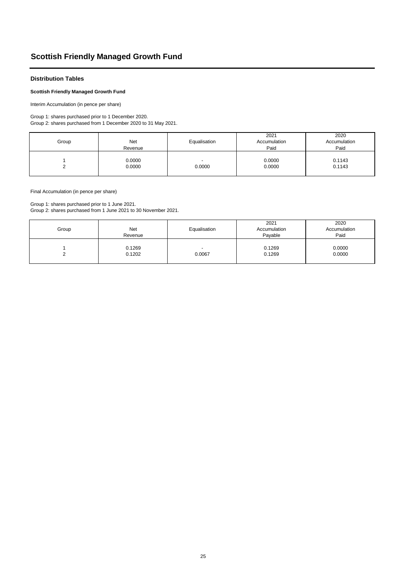## **Distribution Tables**

## **Scottish Friendly Managed Growth Fund**

Interim Accumulation (in pence per share)

# Group 1: shares purchased prior to 1 December 2020.

Group 2: shares purchased from 1 December 2020 to 31 May 2021.

| Group | Net<br>Revenue   | Equalisation                       | 2021<br>Accumulation<br>Paid | 2020<br>Accumulation<br>Paid |
|-------|------------------|------------------------------------|------------------------------|------------------------------|
|       | 0.0000<br>0.0000 | $\overline{\phantom{a}}$<br>0.0000 | 0.0000<br>0.0000             | 0.1143<br>0.1143             |

Final Accumulation (in pence per share)

Group 1: shares purchased prior to 1 June 2021. Group 2: shares purchased from 1 June 2021 to 30 November 2021.

| Group | Net<br>Revenue | Equalisation             | 2021<br>Accumulation<br>Pavable | 2020<br>Accumulation<br>Paid |
|-------|----------------|--------------------------|---------------------------------|------------------------------|
|       | 0.1269         | $\overline{\phantom{a}}$ | 0.1269                          | 0.0000                       |
|       | 0.1202         | 0.0067                   | 0.1269                          | 0.0000                       |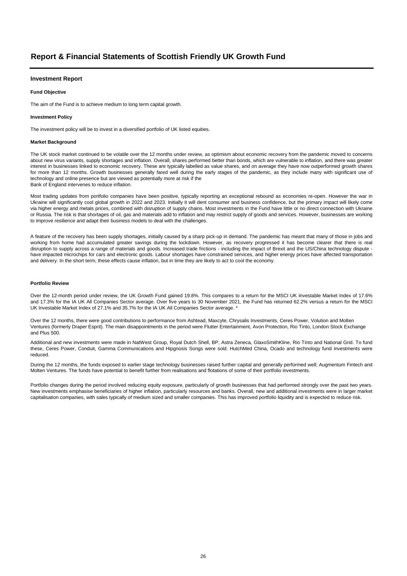## **Investment Report**

### **Fund Objective**

The aim of the Fund is to achieve medium to long term capital growth.

#### **Investment Policy**

The investment policy will be to invest in a diversified portfolio of UK listed equities.

#### **Market Background**

The UK stock market continued to be volatile over the 12 months under review, as optimism about economic recovery from the pandemic moved to concerns about new virus variants, supply shortages and inflation. Overall, shares performed better than bonds, which are vulnerable to inflation, and there was greater interest in businesses linked to economic recovery. These are typically labelled as value shares, and on average they have now outperformed growth shares for more than 12 months. Growth businesses generally fared well during the early stages of the pandemic, as they include many with significant use of technology and online presence but are viewed as potentially more at risk if the Bank of England intervenes to reduce inflation.

Most trading updates from portfolio companies have been positive, typically reporting an exceptional rebound as economies re-open. However the war in Ukraine will significantly cool global growth in 2022 and 2023. Initially it will dent consumer and business confidence, but the primary impact will likely come via higher energy and metals prices, combined with disruption of supply chains. Most investments in the Fund have little or no direct connection with Ukraine or Russia. The risk is that shortages of oil, gas and materials add to inflation and may restrict supply of goods and services. However, businesses are working to improve resilience and adapt their business models to deal with the challenges.

A feature of the recovery has been supply shortages, initially caused by a sharp pick-up in demand. The pandemic has meant that many of those in jobs and working from home had accumulated greater savings during the lockdown. However, as recovery progressed it has become clearer that there is real disruption to supply across a range of materials and goods. Increased trade frictions - including the impact of Brexit and the US/China technology dispute have impacted microchips for cars and electronic goods. Labour shortages have constrained services, and higher energy prices have affected transportation and delivery. In the short term, these effects cause inflation, but in time they are likely to act to cool the economy.

#### **Portfolio Review**

Over the 12-month period under review, the UK Growth Fund gained 19.8%. This compares to a return for the MSCI UK Investable Market Index of 17.6% and 17.3% for the IA UK All Companies Sector average. Over five years to 30 November 2021, the Fund has returned 62.2% versus a return for the MSCI UK Investable Market Index of 27.1% and 35.7% for the IA UK All Companies Sector average. \*

Over the 12 months, there were good contributions to performance from Ashtead, Maxcyte, Chrysalis Investments, Ceres Power, Volution and Molten Ventures (formerly Draper Esprit). The main disappointments in the period were Flutter Entertainment, Avon Protection, Rio Tinto, London Stock Exchange and Plus 500.

Additional and new investments were made in NatWest Group, Royal Dutch Shell, BP, Astra Zeneca, GlaxoSmithKline, Rio Tinto and National Grid. To fund these, Ceres Power, Conduit, Gamma Communications and Hipgnosis Songs were sold. HutchMed China, Ocado and technology fund investments were reduced.

During the 12 months, the funds exposed to earlier stage technology businesses raised further capital and generally performed well; Augmentum Fintech and Molten Ventures. The funds have potential to benefit further from realisations and flotations of some of their portfolio investments.

Portfolio changes during the period involved reducing equity exposure, particularly of growth businesses that had performed strongly over the past two years. New investments emphasise beneficiaries of higher inflation, particularly resources and banks. Overall, new and additional investments were in larger market capitalisation companies, with sales typically of medium sized and smaller companies. This has improved portfolio liquidity and is expected to reduce risk.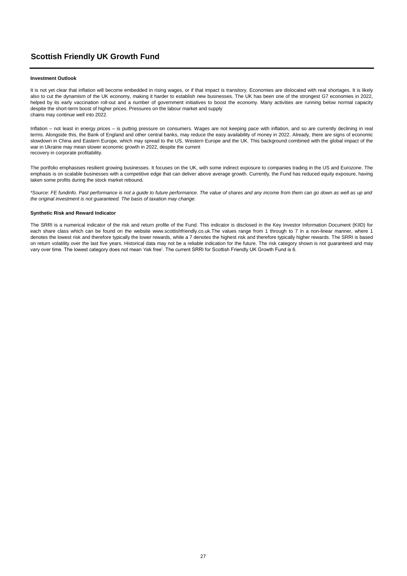#### **Investment Outlook**

It is not yet clear that inflation will become embedded in rising wages, or if that impact is transitory. Economies are dislocated with real shortages. It is likely also to cut the dynamism of the UK economy, making it harder to establish new businesses. The UK has been one of the strongest G7 economies in 2022, helped by its early vaccination roll-out and a number of government initiatives to boost the economy. Many activities are running below normal capacity despite the short-term boost of higher prices. Pressures on the labour market and supply chains may continue well into 2022.

Inflation – not least in energy prices – is putting pressure on consumers. Wages are not keeping pace with inflation, and so are currently declining in real terms. Alongside this, the Bank of England and other central banks, may reduce the easy availability of money in 2022. Already, there are signs of economic slowdown in China and Eastern Europe, which may spread to the US, Western Europe and the UK. This background combined with the global impact of the war in Ukraine may mean slower economic growth in 2022, despite the current recovery in corporate profitability.

The portfolio emphasises resilient growing businesses. It focuses on the UK, with some indirect exposure to companies trading in the US and Eurozone. The emphasis is on scalable businesses with a competitive edge that can deliver above average growth. Currently, the Fund has reduced equity exposure, having taken some profits during the stock market rebound.

\*Source: FE fundinfo. Past performance is not a quide to future performance. The value of shares and any income from them can go down as well as up and *the original investment is not guaranteed. The basis of taxation may change.*

## **Synthetic Risk and Reward Indicator**

The SRRI is a numerical indicator of the risk and return profile of the Fund. This indicator is disclosed in the Key Investor Information Document (KIID) for each share class which can be found on the website www.scottishfriendly.co.uk.The values range from 1 through to 7 in a non-linear manner, where 1 denotes the lowest risk and therefore typically the lower rewards, while a 7 denotes the highest risk and therefore typically higher rewards. The SRRI is based on return volatility over the last five years. Historical data may not be a reliable indication for the future. The risk category shown is not guaranteed and may vary over time. The lowest category does not mean 'risk free'. The current SRRI for Scottish Friendly UK Growth Fund is 6.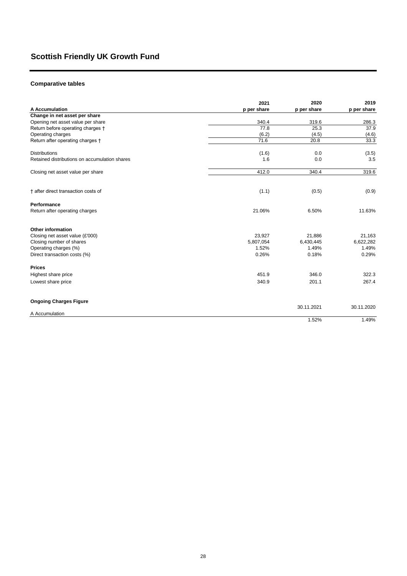## **Comparative tables**

|                                               | 2021        | 2020        | 2019        |
|-----------------------------------------------|-------------|-------------|-------------|
| A Accumulation                                | p per share | p per share | p per share |
| Change in net asset per share                 |             |             |             |
| Opening net asset value per share             | 340.4       | 319.6       | 286.3       |
| Return before operating charges +             | 77.8        | 25.3        | 37.9        |
| Operating charges                             | (6.2)       | (4.5)       | (4.6)       |
| Return after operating charges +              | 71.6        | 20.8        | 33.3        |
| <b>Distributions</b>                          | (1.6)       | 0.0         | (3.5)       |
| Retained distributions on accumulation shares | 1.6         | 0.0         | 3.5         |
| Closing net asset value per share             | 412.0       | 340.4       | 319.6       |
| t after direct transaction costs of           | (1.1)       | (0.5)       | (0.9)       |
| Performance                                   |             |             |             |
| Return after operating charges                | 21.06%      | 6.50%       | 11.63%      |
| Other information                             |             |             |             |
| Closing net asset value (£'000)               | 23,927      | 21,886      | 21,163      |
| Closing number of shares                      | 5,807,054   | 6,430,445   | 6,622,282   |
| Operating charges (%)                         | 1.52%       | 1.49%       | 1.49%       |
| Direct transaction costs (%)                  | 0.26%       | 0.18%       | 0.29%       |
| <b>Prices</b>                                 |             |             |             |
| Highest share price                           | 451.9       | 346.0       | 322.3       |
| Lowest share price                            | 340.9       | 201.1       | 267.4       |
| <b>Ongoing Charges Figure</b>                 |             |             |             |
|                                               |             | 30.11.2021  | 30.11.2020  |
| A Accumulation                                |             |             |             |
|                                               |             | 1.52%       | 1.49%       |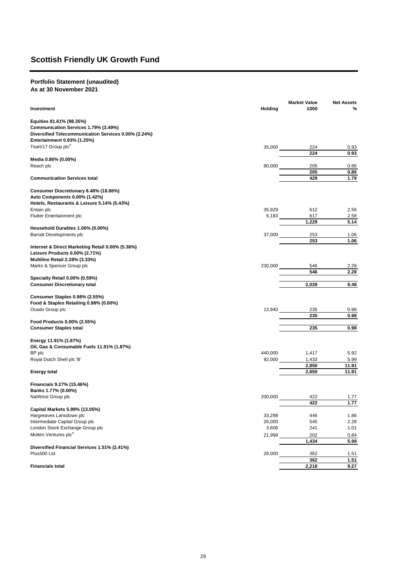## **Portfolio Statement (unaudited) As at 30 November 2021**

| Investment                                                                         | <b>Holding</b> | <b>Market Value</b><br>£000 | <b>Net Assets</b><br>% |
|------------------------------------------------------------------------------------|----------------|-----------------------------|------------------------|
| Equities 81.61% (98.35%)                                                           |                |                             |                        |
| Communication Services 1.79% (3.49%)                                               |                |                             |                        |
| Diversified Telecommunication Services 0.00% (2.24%)                               |                |                             |                        |
| Entertainment 0.93% (1.25%)                                                        |                |                             |                        |
| Team17 Group plc <sup>#</sup>                                                      | 35,000         | 224                         | 0.93                   |
|                                                                                    |                | 224                         | 0.93                   |
| Media 0.86% (0.00%)<br>Reach plc                                                   | 80,000         | 205                         | 0.86                   |
|                                                                                    |                | 205                         | 0.86                   |
| <b>Communication Services total</b>                                                |                | 429                         | 1.79                   |
| Consumer Discretionary 8.48% (18.86%)                                              |                |                             |                        |
| Auto Components 0.00% (1.42%)                                                      |                |                             |                        |
| Hotels, Restaurants & Leisure 5.14% (5.43%)                                        |                |                             |                        |
| Entain plc                                                                         | 35,929         | 612                         | 2.56                   |
| Flutter Entertainment plc                                                          | 6,183          | 617                         | 2.58                   |
|                                                                                    |                | 1,229                       | 5.14                   |
| Household Durables 1.06% (0.00%)                                                   |                |                             |                        |
| Barratt Developments plc                                                           | 37,000         | 253                         | 1.06                   |
|                                                                                    |                | 253                         | 1.06                   |
| Internet & Direct Marketing Retail 0.00% (5.38%)<br>Leisure Products 0.00% (2.71%) |                |                             |                        |
| Multiline Retail 2.28% (3.33%)                                                     |                |                             |                        |
| Marks & Spencer Group plc                                                          | 230,000        | 546                         | 2.28                   |
|                                                                                    |                | 546                         | 2.28                   |
| Specialty Retail 0.00% (0.59%)                                                     |                |                             |                        |
| <b>Consumer Discretionary total</b>                                                |                | 2,028                       | 8.48                   |
|                                                                                    |                |                             |                        |
| Consumer Staples 0.98% (2.55%)                                                     |                |                             |                        |
| Food & Staples Retailing 0.98% (0.00%)<br>Ocado Group plc                          | 12,940         | 235                         | 0.98                   |
|                                                                                    |                | 235                         | 0.98                   |
| Food Products 0.00% (2.55%)                                                        |                |                             |                        |
| <b>Consumer Staples total</b>                                                      |                | 235                         | 0.98                   |
|                                                                                    |                |                             |                        |
| Energy 11.91% (1.87%)                                                              |                |                             |                        |
| Oil, Gas & Consumable Fuels 11.91% (1.87%)                                         |                |                             |                        |
| BP plc                                                                             | 440,000        | 1,417                       | 5.92                   |
| Royal Dutch Shell plc 'B'                                                          | 92,000         | 1,433<br>2,850              | 5.99                   |
| <b>Energy total</b>                                                                |                | 2.850                       | 11.91<br>11.91         |
|                                                                                    |                |                             |                        |
| Financials 9.27% (15.46%)                                                          |                |                             |                        |
| Banks 1.77% (0.00%)                                                                |                |                             |                        |
| NatWest Group plc                                                                  | 200,000        | 422                         | 1.77                   |
|                                                                                    |                | 422                         | 1.77                   |
| Capital Markets 5.99% (13.05%)                                                     |                |                             |                        |
| Hargreaves Lansdown plc                                                            | 33,298         | 446                         | 1.86                   |
| Intermediate Capital Group plc                                                     | 26,000         | 545                         | 2.28                   |
| London Stock Exchange Group plc<br>Molten Ventures plc <sup>#</sup>                | 3,606          | 241                         | 1.01                   |
|                                                                                    | 21,999         | 202<br>1,434                | 0.84<br>5.99           |
| Diversified Financial Services 1.51% (2.41%)                                       |                |                             |                        |
| Plus500 Ltd.                                                                       | 28,000         | 362                         | 1.51                   |
|                                                                                    |                | 362                         | 1.51                   |
| <b>Financials total</b>                                                            |                | 2,218                       | 9.27                   |
|                                                                                    |                |                             |                        |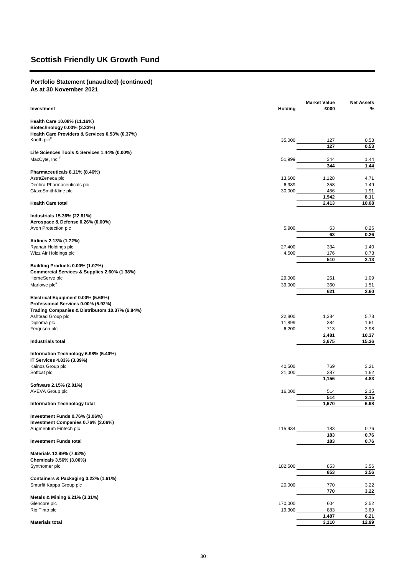## **Portfolio Statement (unaudited) (continued) As at 30 November 2021**

| Investment                                                                    | <b>Holding</b> | <b>Market Value</b><br>£000 | <b>Net Assets</b><br>% |
|-------------------------------------------------------------------------------|----------------|-----------------------------|------------------------|
| Health Care 10.08% (11.16%)                                                   |                |                             |                        |
| Biotechnology 0.00% (2.33%)<br>Health Care Providers & Services 0.53% (0.37%) |                |                             |                        |
| Kooth plc <sup>#</sup>                                                        | 35,000         | 127                         | 0.53                   |
|                                                                               |                | 127                         | 0.53                   |
| Life Sciences Tools & Services 1.44% (0.00%)                                  |                |                             |                        |
| MaxCyte, Inc. <sup>#</sup>                                                    | 51,999         | 344                         | 1.44                   |
|                                                                               |                | 344                         | 1.44                   |
| Pharmaceuticals 8.11% (8.46%)<br>AstraZeneca plc                              | 13,600         | 1,128                       | 4.71                   |
| Dechra Pharmaceuticals plc                                                    | 6,989          | 358                         | 1.49                   |
| GlaxoSmithKline plc                                                           | 30,000         | 456                         | 1.91                   |
| <b>Health Care total</b>                                                      |                | 1,942<br>2,413              | 8.11<br>10.08          |
| Industrials 15.36% (22.61%)                                                   |                |                             |                        |
| Aerospace & Defense 0.26% (0.00%)                                             |                |                             |                        |
| Avon Protection plc                                                           | 5,900          | 63                          | 0.26                   |
|                                                                               |                | 63                          | 0.26                   |
| Airlines 2.13% (1.72%)<br>Ryanair Holdings plc                                | 27,400         | 334                         | 1.40                   |
| Wizz Air Holdings plc                                                         | 4,500          | 176                         | 0.73                   |
|                                                                               |                | 510                         | 2.13                   |
| Building Products 0.00% (1.07%)                                               |                |                             |                        |
| Commercial Services & Supplies 2.60% (1.38%)                                  |                |                             |                        |
| HomeServe plc                                                                 | 29,000         | 261                         | 1.09                   |
| Marlowe plc#                                                                  | 39,000         | 360<br>621                  | 1.51<br>2.60           |
| Electrical Equipment 0.00% (5.68%)                                            |                |                             |                        |
| Professional Services 0.00% (5.92%)                                           |                |                             |                        |
| Trading Companies & Distributors 10.37% (6.84%)                               |                |                             |                        |
| Ashtead Group plc                                                             | 22,800         | 1,384                       | 5.78                   |
| Diploma plc                                                                   | 11,899         | 384                         | 1.61                   |
| Ferguson plc                                                                  | 6,200          | 713<br>2,481                | 2.98<br>10.37          |
| Industrials total                                                             |                | 3,675                       | 15.36                  |
| Information Technology 6.98% (5.40%)                                          |                |                             |                        |
| IT Services 4.83% (3.39%)                                                     |                |                             |                        |
| Kainos Group plc                                                              | 40,500         | 769                         | 3.21                   |
| Softcat plc                                                                   | 21,000         | 387                         | 1.62                   |
| Software 2.15% (2.01%)                                                        |                | 1,156                       | 4.83                   |
| <b>AVEVA Group plc</b>                                                        | 16,000         | 514                         | 2.15                   |
|                                                                               |                | 514                         | 2.15                   |
| <b>Information Technology total</b>                                           |                | 1,670                       | 6.98                   |
| <b>Investment Funds 0.76% (3.06%)</b>                                         |                |                             |                        |
| Investment Companies 0.76% (3.06%)                                            |                |                             |                        |
| Augmentum Fintech plc                                                         | 115,934        | 183                         | 0.76                   |
|                                                                               |                | 183                         | 0.76                   |
| <b>Investment Funds total</b>                                                 |                | 183                         | 0.76                   |
| Materials 12.99% (7.92%)                                                      |                |                             |                        |
| Chemicals 3.56% (3.00%)                                                       |                |                             |                        |
| Synthomer plc                                                                 | 182,500        | 853                         | 3.56                   |
| Containers & Packaging 3.22% (1.61%)                                          |                | 853                         | 3.56                   |
| Smurfit Kappa Group plc                                                       | 20,000         | 770                         | 3.22                   |
|                                                                               |                | 770                         | 3.22                   |
| Metals & Mining 6.21% (3.31%)                                                 |                |                             |                        |
| Glencore plc                                                                  | 170,000        | 604                         | 2.52                   |
| Rio Tinto plc                                                                 | 19,300         | 883<br>1,487                | 3.69<br>6.21           |
| <b>Materials total</b>                                                        |                | 3,110                       | 12.99                  |
|                                                                               |                |                             |                        |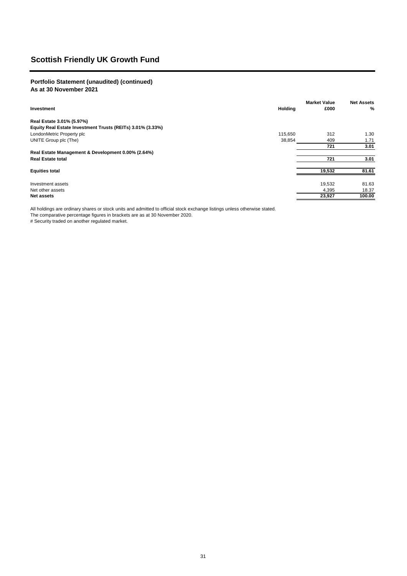## **Portfolio Statement (unaudited) (continued) As at 30 November 2021**

| Investment                                                 | <b>Holding</b> | <b>Market Value</b><br>£000 | <b>Net Assets</b><br>% |
|------------------------------------------------------------|----------------|-----------------------------|------------------------|
| Real Estate 3.01% (5.97%)                                  |                |                             |                        |
| Equity Real Estate Investment Trusts (REITs) 3.01% (3.33%) |                |                             |                        |
| LondonMetric Property plc                                  | 115,650        | 312                         | 1.30                   |
| UNITE Group plc (The)                                      | 38,854         | 409                         | 1.71                   |
|                                                            |                | 721                         | 3.01                   |
| Real Estate Management & Development 0.00% (2.64%)         |                |                             |                        |
| <b>Real Estate total</b>                                   |                | 721                         | 3.01                   |
| <b>Equities total</b>                                      |                | 19,532                      | 81.61                  |
| Investment assets                                          |                | 19,532                      | 81.63                  |
| Net other assets                                           |                | 4,395                       | 18.37                  |
| <b>Net assets</b>                                          |                | 23,927                      | 100.00                 |

All holdings are ordinary shares or stock units and admitted to official stock exchange listings unless otherwise stated.

The comparative percentage figures in brackets are as at 30 November 2020.

# Security traded on another regulated market.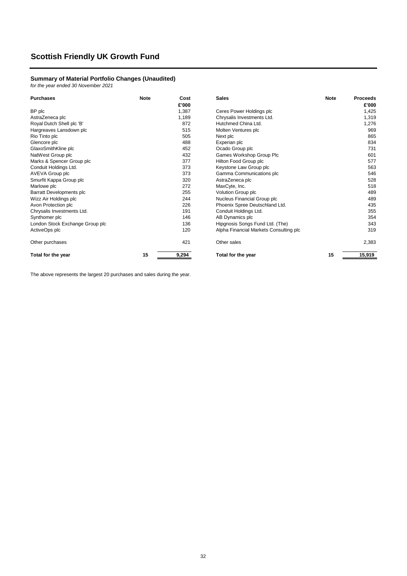### **Summary of Material Portfolio Changes (Unaudited)**

*for the year ended 30 November 2021*

| <b>Purchases</b>                | <b>Note</b> | Cost  | <b>Sales</b>                           | <b>Note</b> | Proceeds |
|---------------------------------|-------------|-------|----------------------------------------|-------------|----------|
|                                 |             | £'000 |                                        |             | £'000    |
| BP plc                          |             | 1,387 | Ceres Power Holdings plc               |             | 1,425    |
| AstraZeneca plc                 |             | 1,189 | Chrysalis Investments Ltd.             |             | 1,319    |
| Royal Dutch Shell plc 'B'       |             | 872   | Hutchmed China Ltd.                    |             | 1,276    |
| Hargreaves Lansdown plc         |             | 515   | Molten Ventures plc                    |             | 969      |
| Rio Tinto plc                   |             | 505   | Next plc                               |             | 865      |
| Glencore plc                    |             | 488   | Experian plc                           |             | 834      |
| GlaxoSmithKline plc             |             | 452   | Ocado Group plc                        |             | 731      |
| NatWest Group plc               |             | 432   | Games Workshop Group Plc               |             | 601      |
| Marks & Spencer Group plc       |             | 377   | Hilton Food Group plc                  |             | 577      |
| Conduit Holdings Ltd.           |             | 373   | Keystone Law Group plc                 |             | 563      |
| AVEVA Group plc                 |             | 373   | Gamma Communications plc               |             | 546      |
| Smurfit Kappa Group plc         |             | 320   | AstraZeneca plc                        |             | 528      |
| Marlowe plc                     |             | 272   | MaxCyte, Inc.                          |             | 518      |
| Barratt Developments plc        |             | 255   | Volution Group plc                     |             | 489      |
| Wizz Air Holdings plc           |             | 244   | Nucleus Financial Group plc            |             | 489      |
| Avon Protection plc             |             | 226   | Phoenix Spree Deutschland Ltd.         |             | 435      |
| Chrysalis Investments Ltd.      |             | 191   | Conduit Holdings Ltd.                  |             | 355      |
| Synthomer plc                   |             | 146   | AB Dynamics plc                        |             | 354      |
| London Stock Exchange Group plc |             | 136   | Hipgnosis Songs Fund Ltd. (The)        |             | 343      |
| ActiveOps plc                   |             | 120   | Alpha Financial Markets Consulting plc |             | 319      |
| Other purchases                 |             | 421   | Other sales                            |             | 2,383    |
| Total for the year              | 15          | 9,294 | <b>Total for the vear</b>              | 15          | 15,919   |

| Purchases                       | <b>Note</b> | Cost  | Sales                                  | <b>Note</b> | Proceeds |
|---------------------------------|-------------|-------|----------------------------------------|-------------|----------|
|                                 |             | £'000 |                                        |             | £'000    |
| BP plc                          |             | 1,387 | Ceres Power Holdings plc               |             | 1,425    |
| AstraZeneca plc                 |             | 1,189 | Chrysalis Investments Ltd.             |             | 1,319    |
| Royal Dutch Shell plc 'B'       |             | 872   | Hutchmed China Ltd.                    |             | 1,276    |
| Hargreaves Lansdown plc         |             | 515   | Molten Ventures plc                    |             | 969      |
| Rio Tinto plc                   |             | 505   | Next plc                               |             | 865      |
| Glencore plc                    |             | 488   | Experian plc                           |             | 834      |
| GlaxoSmithKline plc             |             | 452   | Ocado Group plc                        |             | 731      |
| NatWest Group plc               |             | 432   | Games Workshop Group Plc               |             | 601      |
| Marks & Spencer Group plc       |             | 377   | Hilton Food Group plc                  |             | 577      |
| Conduit Holdings Ltd.           |             | 373   | Keystone Law Group plc                 |             | 563      |
| AVEVA Group plc                 |             | 373   | Gamma Communications plc               |             | 546      |
| Smurfit Kappa Group plc         |             | 320   | AstraZeneca plc                        |             | 528      |
| Marlowe plc                     |             | 272   | MaxCyte, Inc.                          |             | 518      |
| Barratt Developments plc        |             | 255   | Volution Group plc                     |             | 489      |
| Wizz Air Holdings plc           |             | 244   | Nucleus Financial Group plc            |             | 489      |
| Avon Protection plc             |             | 226   | Phoenix Spree Deutschland Ltd.         |             | 435      |
| Chrysalis Investments Ltd.      |             | 191   | Conduit Holdings Ltd.                  |             | 355      |
| Synthomer plc                   |             | 146   | AB Dynamics plc                        |             | 354      |
| London Stock Exchange Group plc |             | 136   | Hipgnosis Songs Fund Ltd. (The)        |             | 343      |
| ActiveOps plc                   |             | 120   | Alpha Financial Markets Consulting plc |             | 319      |
| Other purchases                 |             | 421   | Other sales                            |             | 2,383    |
| Total for the year              | 15          | 9,294 | Total for the year                     | 15          | 15,919   |

The above represents the largest 20 purchases and sales during the year.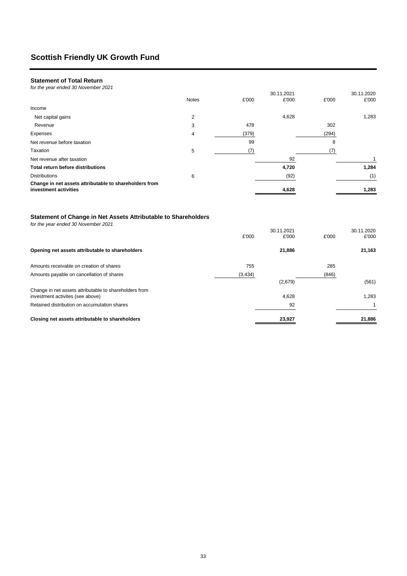## **Statement of Total Return**

*for the year ended 30 November 2021*

| $\overline{\phantom{a}}$                                                        | <b>Notes</b>   | £'000 | 30.11.2021<br>£'000 | £'000 | 30.11.2020<br>£'000 |
|---------------------------------------------------------------------------------|----------------|-------|---------------------|-------|---------------------|
| Income                                                                          |                |       |                     |       |                     |
| Net capital gains                                                               | $\overline{2}$ |       | 4,628               |       | 1,283               |
| Revenue                                                                         | 3              | 478   |                     | 302   |                     |
| Expenses                                                                        | 4              | (379) |                     | (294) |                     |
| Net revenue before taxation                                                     |                | 99    |                     | 8     |                     |
| Taxation                                                                        | 5              | (7)   |                     | (7)   |                     |
| Net revenue after taxation                                                      |                |       | 92                  |       |                     |
| Total return before distributions                                               |                |       | 4,720               |       | 1,284               |
| <b>Distributions</b>                                                            | 6              |       | (92)                |       | (1)                 |
| Change in net assets attributable to shareholders from<br>investment activities |                |       | 4,628               |       | 1,283               |

#### **Statement of Change in Net Assets Attributable to Shareholders**

*for the year ended 30 November 2021*

|                                                        |          | 30.11.2021 |       | 30.11.2020 |
|--------------------------------------------------------|----------|------------|-------|------------|
|                                                        | £'000    | £'000      | £'000 | £'000      |
| Opening net assets attributable to shareholders        |          | 21,886     |       | 21,163     |
| Amounts receivable on creation of shares               | 755      |            | 285   |            |
| Amounts payable on cancellation of shares              | (3, 434) |            | (846) |            |
|                                                        |          | (2,679)    |       | (561)      |
| Change in net assets attributable to shareholders from |          |            |       |            |
| investment activites (see above)                       |          | 4.628      |       | 1,283      |
| Retained distribution on accumulation shares           |          | 92         |       |            |
| Closing net assets attributable to shareholders        |          | 23,927     |       | 21,886     |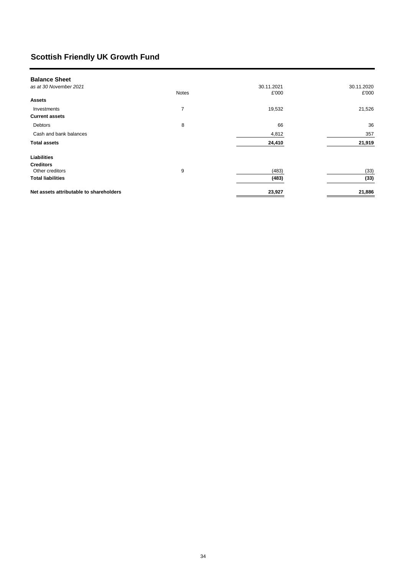|       | 30.11.2021 | 30.11.2020 |
|-------|------------|------------|
| Notes | £'000      | £'000      |
|       |            |            |
| 7     | 19,532     | 21,526     |
|       |            |            |
| 8     | 66         | 36         |
|       | 4,812      | 357        |
|       | 24,410     | 21,919     |
|       |            |            |
|       |            |            |
| 9     | (483)      | (33)       |
|       | (483)      | (33)       |
|       | 23,927     | 21,886     |
|       |            |            |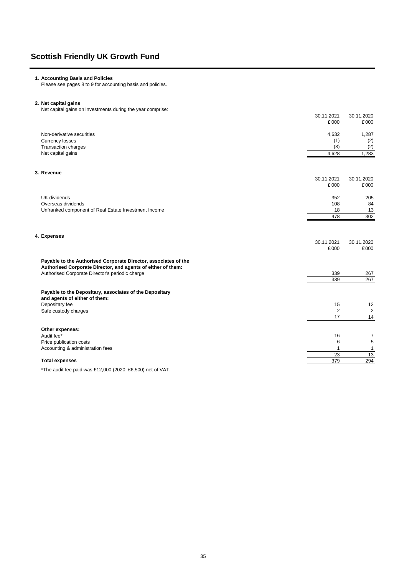## **1. Accounting Basis and Policies**

Please see pages 8 to 9 for accounting basis and policies.

#### **2. Net capital gains**

Net capital gains on investments during the year comprise:

| Non-derivative securities<br>4,632<br><b>Currency losses</b><br>(1)<br>Transaction charges<br>(3)<br>(2)<br>Net capital gains<br>4,628<br>1,283<br>3. Revenue<br>30.11.2021<br>30.11.2020<br>£'000<br><b>UK</b> dividends<br>352<br>108<br>Overseas dividends<br>18<br>Unfranked component of Real Estate Investment Income<br>478<br>4. Expenses<br>30.11.2021<br>£'000<br>£'000<br>Payable to the Authorised Corporate Director, associates of the<br>Authorised Corporate Director, and agents of either of them:<br>339<br>Authorised Corporate Director's periodic charge<br>267<br>339<br>267<br>Payable to the Depositary, associates of the Depositary<br>and agents of either of them:<br>Depositary fee<br>15<br>12<br>$\overline{2}$<br>Safe custody charges<br>17<br>Other expenses:<br>Audit fee*<br>16<br>Price publication costs<br>6<br>Accounting & administration fees<br>1<br>23<br><b>Total expenses</b><br>379<br>294 |  | 30.11.2021<br>£'000 | 30.11.2020<br>£'000     |
|--------------------------------------------------------------------------------------------------------------------------------------------------------------------------------------------------------------------------------------------------------------------------------------------------------------------------------------------------------------------------------------------------------------------------------------------------------------------------------------------------------------------------------------------------------------------------------------------------------------------------------------------------------------------------------------------------------------------------------------------------------------------------------------------------------------------------------------------------------------------------------------------------------------------------------------------|--|---------------------|-------------------------|
|                                                                                                                                                                                                                                                                                                                                                                                                                                                                                                                                                                                                                                                                                                                                                                                                                                                                                                                                            |  |                     | 1,287                   |
|                                                                                                                                                                                                                                                                                                                                                                                                                                                                                                                                                                                                                                                                                                                                                                                                                                                                                                                                            |  |                     | (2)                     |
|                                                                                                                                                                                                                                                                                                                                                                                                                                                                                                                                                                                                                                                                                                                                                                                                                                                                                                                                            |  |                     |                         |
|                                                                                                                                                                                                                                                                                                                                                                                                                                                                                                                                                                                                                                                                                                                                                                                                                                                                                                                                            |  |                     |                         |
|                                                                                                                                                                                                                                                                                                                                                                                                                                                                                                                                                                                                                                                                                                                                                                                                                                                                                                                                            |  |                     |                         |
|                                                                                                                                                                                                                                                                                                                                                                                                                                                                                                                                                                                                                                                                                                                                                                                                                                                                                                                                            |  |                     |                         |
|                                                                                                                                                                                                                                                                                                                                                                                                                                                                                                                                                                                                                                                                                                                                                                                                                                                                                                                                            |  |                     | £'000                   |
|                                                                                                                                                                                                                                                                                                                                                                                                                                                                                                                                                                                                                                                                                                                                                                                                                                                                                                                                            |  |                     | 205                     |
|                                                                                                                                                                                                                                                                                                                                                                                                                                                                                                                                                                                                                                                                                                                                                                                                                                                                                                                                            |  |                     | 84                      |
|                                                                                                                                                                                                                                                                                                                                                                                                                                                                                                                                                                                                                                                                                                                                                                                                                                                                                                                                            |  |                     | 13                      |
|                                                                                                                                                                                                                                                                                                                                                                                                                                                                                                                                                                                                                                                                                                                                                                                                                                                                                                                                            |  |                     | 302                     |
|                                                                                                                                                                                                                                                                                                                                                                                                                                                                                                                                                                                                                                                                                                                                                                                                                                                                                                                                            |  |                     |                         |
|                                                                                                                                                                                                                                                                                                                                                                                                                                                                                                                                                                                                                                                                                                                                                                                                                                                                                                                                            |  |                     | 30.11.2020              |
|                                                                                                                                                                                                                                                                                                                                                                                                                                                                                                                                                                                                                                                                                                                                                                                                                                                                                                                                            |  |                     |                         |
|                                                                                                                                                                                                                                                                                                                                                                                                                                                                                                                                                                                                                                                                                                                                                                                                                                                                                                                                            |  |                     |                         |
|                                                                                                                                                                                                                                                                                                                                                                                                                                                                                                                                                                                                                                                                                                                                                                                                                                                                                                                                            |  |                     |                         |
|                                                                                                                                                                                                                                                                                                                                                                                                                                                                                                                                                                                                                                                                                                                                                                                                                                                                                                                                            |  |                     |                         |
|                                                                                                                                                                                                                                                                                                                                                                                                                                                                                                                                                                                                                                                                                                                                                                                                                                                                                                                                            |  |                     |                         |
|                                                                                                                                                                                                                                                                                                                                                                                                                                                                                                                                                                                                                                                                                                                                                                                                                                                                                                                                            |  |                     |                         |
|                                                                                                                                                                                                                                                                                                                                                                                                                                                                                                                                                                                                                                                                                                                                                                                                                                                                                                                                            |  |                     |                         |
|                                                                                                                                                                                                                                                                                                                                                                                                                                                                                                                                                                                                                                                                                                                                                                                                                                                                                                                                            |  |                     | $\overline{\mathbf{c}}$ |
|                                                                                                                                                                                                                                                                                                                                                                                                                                                                                                                                                                                                                                                                                                                                                                                                                                                                                                                                            |  |                     | 14                      |
|                                                                                                                                                                                                                                                                                                                                                                                                                                                                                                                                                                                                                                                                                                                                                                                                                                                                                                                                            |  |                     |                         |
|                                                                                                                                                                                                                                                                                                                                                                                                                                                                                                                                                                                                                                                                                                                                                                                                                                                                                                                                            |  |                     | 7                       |
|                                                                                                                                                                                                                                                                                                                                                                                                                                                                                                                                                                                                                                                                                                                                                                                                                                                                                                                                            |  |                     | 5                       |
|                                                                                                                                                                                                                                                                                                                                                                                                                                                                                                                                                                                                                                                                                                                                                                                                                                                                                                                                            |  |                     | $\mathbf{1}$            |
|                                                                                                                                                                                                                                                                                                                                                                                                                                                                                                                                                                                                                                                                                                                                                                                                                                                                                                                                            |  |                     | 13                      |
|                                                                                                                                                                                                                                                                                                                                                                                                                                                                                                                                                                                                                                                                                                                                                                                                                                                                                                                                            |  |                     |                         |

\*The audit fee paid was £12,000 (2020: £6,500) net of VAT.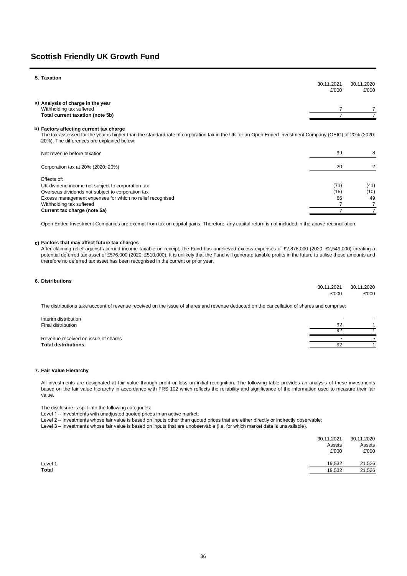## **5. Taxation**

|                                                               | 30.11.2021<br>£'000 | 30.11.2020<br>£'000 |
|---------------------------------------------------------------|---------------------|---------------------|
| a) Analysis of charge in the year<br>Withholding tax suffered |                     |                     |
| Total current taxation (note 5b)                              |                     |                     |
|                                                               |                     |                     |

#### **b) Factors affecting current tax charge**

The tax assessed for the year is higher than the standard rate of corporation tax in the UK for an Open Ended Investment Company (OEIC) of 20% (2020: 20%). The differences are explained below:

| Net revenue before taxation                                                                                                                                                                                                                    | 99                 |                    |
|------------------------------------------------------------------------------------------------------------------------------------------------------------------------------------------------------------------------------------------------|--------------------|--------------------|
| Corporation tax at 20% (2020: 20%)                                                                                                                                                                                                             | 20                 | 2                  |
| Effects of:<br>UK dividend income not subject to corporation tax<br>Overseas dividends not subject to corporation tax<br>Excess management expenses for which no relief recognised<br>Withholding tax suffered<br>Current tax charge (note 5a) | (71)<br>(15)<br>66 | (41)<br>(10)<br>49 |

Open Ended Investment Companies are exempt from tax on capital gains. Therefore, any capital return is not included in the above reconciliation.

## **c) Factors that may affect future tax charges**

After claiming relief against accrued income taxable on receipt, the Fund has unrelieved excess expenses of £2,878,000 (2020: £2,549,000) creating a potential deferred tax asset of £576,000 (2020: £510,000). It is unlikely that the Fund will generate taxable profits in the future to utilise these amounts and therefore no deferred tax asset has been recognised in the current or prior year.

## **6. Distributions**

| . |            |                       |
|---|------------|-----------------------|
|   |            | 30.11.2021 30.11.2020 |
|   | £'000<br>. | £'000                 |

The distributions take account of revenue received on the issue of shares and revenue deducted on the cancellation of shares and comprise:

| Interim distribution                |    |  |
|-------------------------------------|----|--|
| Final distribution                  | 92 |  |
|                                     | 92 |  |
| Revenue received on issue of shares |    |  |
| <b>Total distributions</b>          | 92 |  |

## **7. Fair Value Hierarchy**

All investments are designated at fair value through profit or loss on initial recognition. The following table provides an analysis of these investments based on the fair value hierarchy in accordance with FRS 102 which reflects the reliability and significance of the information used to measure their fair value.

The disclosure is split into the following categories:

Level 1 – Investments with unadjusted quoted prices in an active market;

Level 2 – Investments whose fair value is based on inputs other than quoted prices that are either directly or indirectly observable;

Level 3 – Investments whose fair value is based on inputs that are unobservable (i.e. for which market data is unavailable).

| 19,532<br>Level 1<br><b>Total</b><br>19,532 | 30.11.2021<br>Assets<br>£'000 | 30.11.2020<br>Assets<br>£'000 |
|---------------------------------------------|-------------------------------|-------------------------------|
|                                             |                               | 21,526<br>21,526              |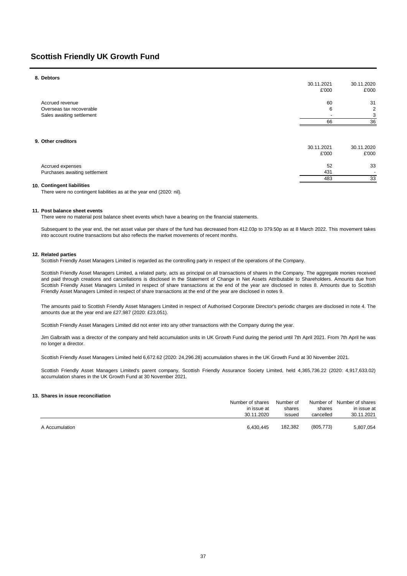## **8. Debtors**

|                               | 30.11.2021<br>£'000 | 30.11.2020<br>£'000 |
|-------------------------------|---------------------|---------------------|
| Accrued revenue               | 60                  | 31                  |
| Overseas tax recoverable      | 6                   | $\overline{2}$      |
| Sales awaiting settlement     |                     | 3                   |
|                               | 66                  | 36                  |
| 9. Other creditors            | 30.11.2021<br>£'000 | 30.11.2020<br>£'000 |
| Accrued expenses              | 52                  | 33                  |
| Purchases awaiting settlement | 431                 | $\blacksquare$      |
|                               | 483                 | 33                  |

## **10. Contingent liabilities**

There were no contingent liabilities as at the year end (2020: nil).

#### **11. Post balance sheet events**

There were no material post balance sheet events which have a bearing on the financial statements.

Subsequent to the year end, the net asset value per share of the fund has decreased from 412.03p to 379.50p as at 8 March 2022. This movement takes into account routine transactions but also reflects the market movements of recent months.

#### **12. Related parties**

Scottish Friendly Asset Managers Limited is regarded as the controlling party in respect of the operations of the Company.

Scottish Friendly Asset Managers Limited, a related party, acts as principal on all transactions of shares in the Company. The aggregate monies received and paid through creations and cancellations is disclosed in the Statement of Change in Net Assets Attributable to Shareholders. Amounts due from Scottish Friendly Asset Managers Limited in respect of share transactions at the end of the year are disclosed in notes 8. Amounts due to Scottish Friendly Asset Managers Limited in respect of share transactions at the end of the year are disclosed in notes 9.

The amounts paid to Scottish Friendly Asset Managers Limited in respect of Authorised Corporate Director's periodic charges are disclosed in note 4. The amounts due at the year end are £27,987 (2020: £23,051).

Scottish Friendly Asset Managers Limited did not enter into any other transactions with the Company during the year.

Jim Galbraith was a director of the company and held accumulation units in UK Growth Fund during the period until 7th April 2021. From 7th April he was no longer a director.

Scottish Friendly Asset Managers Limited held 6,672.62 (2020: 24,296.28) accumulation shares in the UK Growth Fund at 30 November 2021.

Scottish Friendly Asset Managers Limited's parent company, Scottish Friendly Assurance Society Limited, held 4,365,736.22 (2020: 4,917,633.02) accumulation shares in the UK Growth Fund at 30 November 2021.

### **13. Shares in issue reconciliation**

|                | Number of shares | Number of |            | Number of Number of shares |
|----------------|------------------|-----------|------------|----------------------------|
|                | in issue at      | shares    | shares     | in issue at                |
|                | 30.11.2020       | issued    | cancelled  | 30.11.2021                 |
|                |                  |           |            |                            |
| A Accumulation | 6.430.445        | 182.382   | (805, 773) | 5,807,054                  |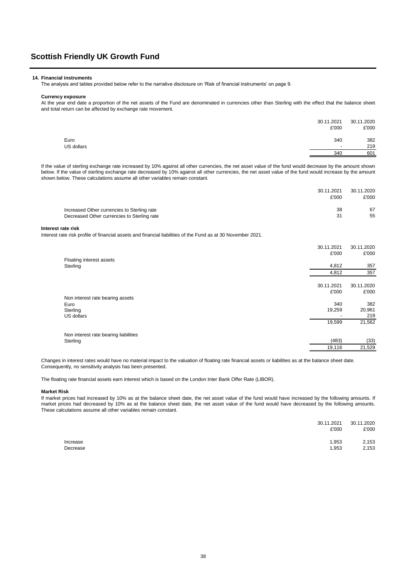#### **14. Financial instruments**

The analysis and tables provided below refer to the narrative disclosure on 'Risk of financial instruments' on page 9.

#### **Currency exposure**

At the year end date a proportion of the net assets of the Fund are denominated in currencies other than Sterling with the effect that the balance sheet and total return can be affected by exchange rate movement.

|            | 30.11.2021<br>£'000      | 30.11.2020<br>£'000 |
|------------|--------------------------|---------------------|
| Euro       | 340                      | 382                 |
| US dollars | $\overline{\phantom{a}}$ | 219                 |
|            | 340                      | 601                 |
|            |                          |                     |

If the value of sterling exchange rate increased by 10% against all other currencies, the net asset value of the fund would decrease by the amount shown below. If the value of sterling exchange rate decreased by 10% against all other currencies, the net asset value of the fund would increase by the amount shown below. These calculations assume all other variables remain constant.

|                                                                                                              | 30.11.2021<br>£'000 | 30.11.2020<br>£'000 |
|--------------------------------------------------------------------------------------------------------------|---------------------|---------------------|
| Increased Other currencies to Sterling rate                                                                  | 38                  | 67                  |
| Decreased Other currencies to Sterling rate                                                                  | 31                  | 55                  |
| Interest rate risk                                                                                           |                     |                     |
| Interest rate risk profile of financial assets and financial liabilities of the Fund as at 30 November 2021. |                     |                     |
|                                                                                                              | 30.11.2021          | 30.11.2020          |
|                                                                                                              | £'000               | £'000               |
| Floating interest assets<br>Sterling                                                                         | 4,812               | 357                 |
|                                                                                                              | 4,812               | 357                 |
|                                                                                                              | 30.11.2021          | 30.11.2020          |
|                                                                                                              | £'000               | £'000               |
| Non interest rate bearing assets                                                                             |                     |                     |
| Euro                                                                                                         | 340                 | 382                 |
| Sterling                                                                                                     | 19,259              | 20,961              |
| US dollars                                                                                                   |                     | 219                 |
|                                                                                                              | 19,599              | 21,562              |
| Non interest rate bearing liabilities                                                                        |                     |                     |
| Sterling                                                                                                     | (483)               | (33)                |
|                                                                                                              | 19,116              | 21,529              |

Changes in interest rates would have no material impact to the valuation of floating rate financial assets or liabilities as at the balance sheet date. Consequently, no sensitivity analysis has been presented.

The floating rate financial assets earn interest which is based on the London Inter Bank Offer Rate (LIBOR).

#### **Market Risk**

If market prices had increased by 10% as at the balance sheet date, the net asset value of the fund would have increased by the following amounts. If market prices had decreased by 10% as at the balance sheet date, the net asset value of the fund would have decreased by the following amounts. These calculations assume all other variables remain constant.

|          | 30.11.2021<br>£'000 | 30.11.2020<br>£'000 |
|----------|---------------------|---------------------|
| Increase | 1,953               | 2,153               |
| Decrease | 1,953               | 2,153               |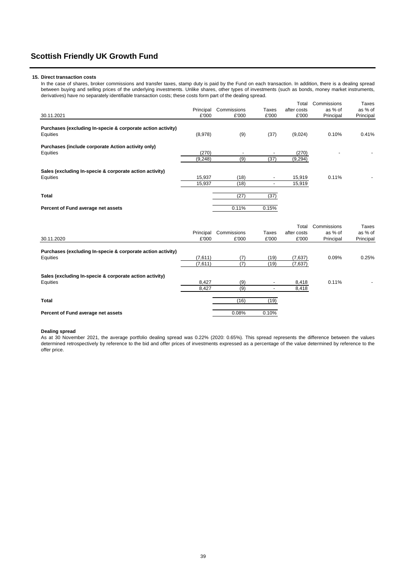#### **15. Direct transaction costs**

In the case of shares, broker commissions and transfer taxes, stamp duty is paid by the Fund on each transaction. In addition, there is a dealing spread between buying and selling prices of the underlying investments. Unlike shares, other types of investments (such as bonds, money market instruments, derivatives) have no separately identifiable transaction costs; these costs form part of the dealing spread.

|                                                                         |           |                          |                          | Total       | Commissions | Taxes     |
|-------------------------------------------------------------------------|-----------|--------------------------|--------------------------|-------------|-------------|-----------|
|                                                                         | Principal | Commissions              | Taxes                    | after costs | as % of     | as % of   |
| 30.11.2021                                                              | £'000     | £'000                    | £'000                    | £'000       | Principal   | Principal |
| Purchases (excluding In-specie & corporate action activity)<br>Equities | (8,978)   | (9)                      | (37)                     | (9,024)     | 0.10%       | 0.41%     |
| Purchases (include corporate Action activity only)                      |           |                          |                          |             |             |           |
| Equities                                                                | (270)     | $\overline{\phantom{0}}$ |                          | (270)       |             |           |
|                                                                         | (9,248)   | (9)                      | (37)                     | (9, 294)    |             |           |
| Sales (excluding In-specie & corporate action activity)                 |           |                          |                          |             |             |           |
| Equities                                                                | 15,937    | (18)                     | ٠                        | 15,919      | 0.11%       |           |
|                                                                         | 15,937    | (18)                     | $\overline{\phantom{a}}$ | 15,919      |             |           |
| <b>Total</b>                                                            |           | (27)                     | (37)                     |             |             |           |
| Percent of Fund average net assets                                      |           | 0.11%                    | 0.15%                    |             |             |           |

|                                                             |           |             |       | Total       | Commissions | Taxes     |
|-------------------------------------------------------------|-----------|-------------|-------|-------------|-------------|-----------|
|                                                             | Principal | Commissions | Taxes | after costs | as % of     | as % of   |
| 30.11.2020                                                  | £'000     | £'000       | £'000 | £'000       | Principal   | Principal |
| Purchases (excluding In-specie & corporate action activity) |           |             |       |             |             |           |
| Equities                                                    | (7,611)   | (7)         | (19)  | (7,637)     | 0.09%       | 0.25%     |
|                                                             | (7,611)   |             | (19)  | (7,637)     |             |           |
| Sales (excluding In-specie & corporate action activity)     |           |             |       |             |             |           |
| Equities                                                    | 8,427     | (9)         |       | 8,418       | 0.11%       |           |
|                                                             | 8,427     | (9)         |       | 8,418       |             |           |
| <b>Total</b>                                                |           | (16)        | (19)  |             |             |           |
| Percent of Fund average net assets                          |           | 0.08%       | 0.10% |             |             |           |

### **Dealing spread**

As at 30 November 2021, the average portfolio dealing spread was 0.22% (2020: 0.65%). This spread represents the difference between the values determined retrospectively by reference to the bid and offer prices of investments expressed as a percentage of the value determined by reference to the offer price.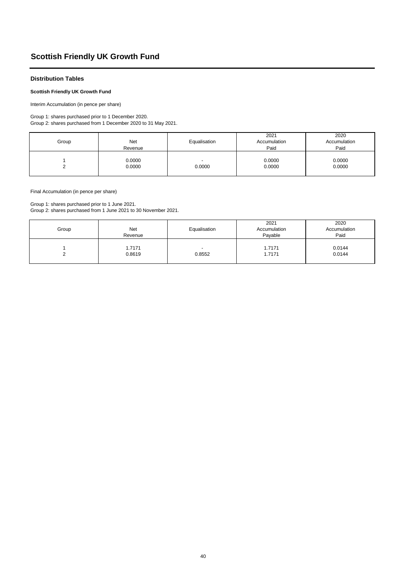## **Distribution Tables**

## **Scottish Friendly UK Growth Fund**

Interim Accumulation (in pence per share)

### Group 1: shares purchased prior to 1 December 2020. Group 2: shares purchased from 1 December 2020 to 31 May 2021.

| Group | Net<br>Revenue | Equalisation             | 2021<br>Accumulation<br>Paid | 2020<br>Accumulation<br>Paid |
|-------|----------------|--------------------------|------------------------------|------------------------------|
|       | 0.0000         | $\overline{\phantom{a}}$ | 0.0000                       | 0.0000                       |
|       | 0.0000         | 0.0000                   | 0.0000                       | 0.0000                       |

Final Accumulation (in pence per share)

Group 1: shares purchased prior to 1 June 2021. Group 2: shares purchased from 1 June 2021 to 30 November 2021.

| Group | Net<br>Revenue | Equalisation             | 2021<br>Accumulation<br>Pavable | 2020<br>Accumulation<br>Paid |
|-------|----------------|--------------------------|---------------------------------|------------------------------|
|       | 1.7171         | $\overline{\phantom{a}}$ | 1.7171                          | 0.0144                       |
|       | 0.8619         | 0.8552                   | 1.7171                          | 0.0144                       |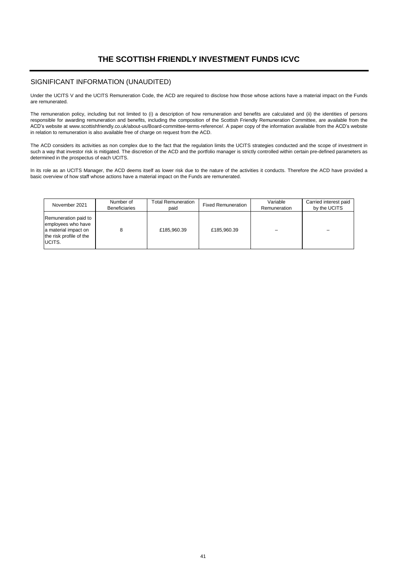## SIGNIFICANT INFORMATION (UNAUDITED)

Under the UCITS V and the UCITS Remuneration Code, the ACD are required to disclose how those whose actions have a material impact on the Funds are remunerated.

The remuneration policy, including but not limited to (i) a description of how remuneration and benefits are calculated and (ii) the identities of persons responsible for awarding remuneration and benefits, including the composition of the Scottish Friendly Remuneration Committee, are available from the ACD's website at www.scottishfriendly.co.uk/about-us/Board-committee-terms-reference/. A paper copy of the information available from the ACD's website in relation to remuneration is also available free of charge on request from the ACD.

The ACD considers its activities as non complex due to the fact that the regulation limits the UCITS strategies conducted and the scope of investment in such a way that investor risk is mitigated. The discretion of the ACD and the portfolio manager is strictly controlled within certain pre-defined parameters as determined in the prospectus of each UCITS.

In its role as an UCITS Manager, the ACD deems itself as lower risk due to the nature of the activities it conducts. Therefore the ACD have provided a basic overview of how staff whose actions have a material impact on the Funds are remunerated.

| November 2021                                                                                                   | Number of<br><b>Beneficiaries</b> | Total Remuneration<br>paid | <b>Fixed Remuneration</b> | Variable<br>Remuneration | Carried interest paid<br>by the UCITS |
|-----------------------------------------------------------------------------------------------------------------|-----------------------------------|----------------------------|---------------------------|--------------------------|---------------------------------------|
| Remuneration paid to<br>employees who have<br>a material impact on<br>the risk profile of the<br><b>IUCITS.</b> |                                   | £185,960,39                | £185,960,39               |                          |                                       |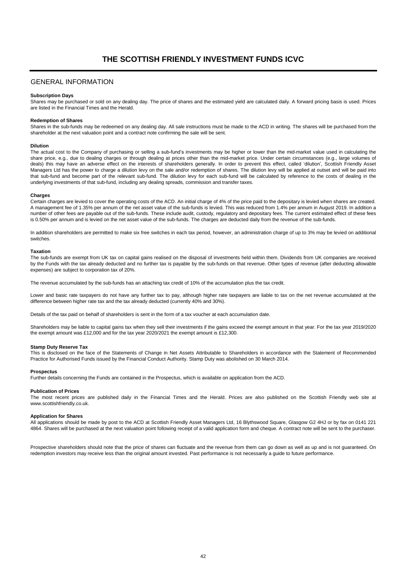## GENERAL INFORMATION

#### **Subscription Days**

Shares may be purchased or sold on any dealing day. The price of shares and the estimated yield are calculated daily. A forward pricing basis is used. Prices are listed in the Financial Times and the Herald.

#### **Redemption of Shares**

Shares in the sub-funds may be redeemed on any dealing day. All sale instructions must be made to the ACD in writing. The shares will be purchased from the shareholder at the next valuation point and a contract note confirming the sale will be sent.

#### **Dilution**

The actual cost to the Company of purchasing or selling a sub-fund's investments may be higher or lower than the mid-market value used in calculating the share price, e.g., due to dealing charges or through dealing at prices other than the mid-market price. Under certain circumstances (e.g., large volumes of deals) this may have an adverse effect on the interests of shareholders generally. In order to prevent this effect, called 'dilution', Scottish Friendly Asset Managers Ltd has the power to charge a dilution levy on the sale and/or redemption of shares. The dilution levy will be applied at outset and will be paid into that sub-fund and become part of the relevant sub-fund. The dilution levy for each sub-fund will be calculated by reference to the costs of dealing in the underlying investments of that sub-fund, including any dealing spreads, commission and transfer taxes.

#### **Charges**

Certain charges are levied to cover the operating costs of the ACD. An initial charge of 4% of the price paid to the depositary is levied when shares are created. A management fee of 1.35% per annum of the net asset value of the sub-funds is levied. This was reduced from 1.4% per annum in August 2019. In addition a number of other fees are payable out of the sub-funds. These include audit, custody, regulatory and depositary fees. The current estimated effect of these fees is 0.50% per annum and is levied on the net asset value of the sub-funds. The charges are deducted daily from the revenue of the sub-funds.

In addition shareholders are permitted to make six free switches in each tax period, however, an administration charge of up to 3% may be levied on additional switches.

#### **Taxation**

The sub-funds are exempt from UK tax on capital gains realised on the disposal of investments held within them. Dividends from UK companies are received by the Funds with the tax already deducted and no further tax is payable by the sub-funds on that revenue. Other types of revenue (after deducting allowable expenses) are subject to corporation tax of 20%.

The revenue accumulated by the sub-funds has an attaching tax credit of 10% of the accumulation plus the tax credit.

Lower and basic rate taxpayers do not have any further tax to pay, although higher rate taxpayers are liable to tax on the net revenue accumulated at the difference between higher rate tax and the tax already deducted (currently 40% and 30%).

Details of the tax paid on behalf of shareholders is sent in the form of a tax voucher at each accumulation date.

Shareholders may be liable to capital gains tax when they sell their investments if the gains exceed the exempt amount in that year. For the tax year 2019/2020 the exempt amount was £12,000 and for the tax year 2020/2021 the exempt amount is £12,300.

#### **Stamp Duty Reserve Tax**

This is disclosed on the face of the Statements of Change in Net Assets Attributable to Shareholders in accordance with the Statement of Recommended Practice for Authorised Funds issued by the Financial Conduct Authority. Stamp Duty was abolished on 30 March 2014.

#### **Prospectus**

Further details concerning the Funds are contained in the Prospectus, which is available on application from the ACD.

#### **Publication of Prices**

The most recent prices are published daily in the Financial Times and the Herald. Prices are also published on the Scottish Friendly web site at www.scottishfriendly.co.uk.

#### **Application for Shares**

All applications should be made by post to the ACD at Scottish Friendly Asset Managers Ltd, 16 Blythswood Square, Glasgow G2 4HJ or by fax on 0141 221 4864. Shares will be purchased at the next valuation point following receipt of a valid application form and cheque. A contract note will be sent to the purchaser.

Prospective shareholders should note that the price of shares can fluctuate and the revenue from them can go down as well as up and is not guaranteed. On redemption investors may receive less than the original amount invested. Past performance is not necessarily a guide to future performance.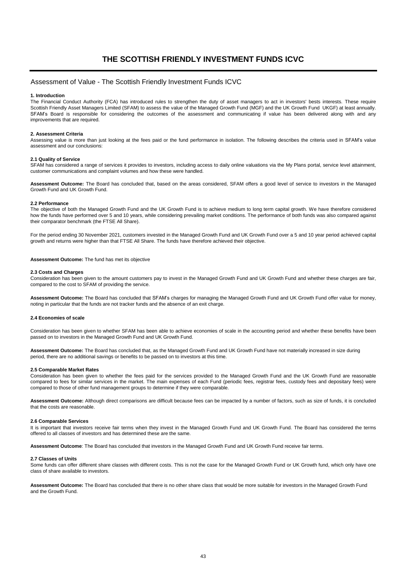## Assessment of Value - The Scottish Friendly Investment Funds ICVC

#### **1. Introduction**

The Financial Conduct Authority (FCA) has introduced rules to strengthen the duty of asset managers to act in investors' bests interests. These require Scottish Friendly Asset Managers Limited (SFAM) to assess the value of the Managed Growth Fund (MGF) and the UK Growth Fund UKGF) at least annually. SFAM's Board is responsible for considering the outcomes of the assessment and communicating if value has been delivered along with and any improvements that are required.

#### **2. Assessment Criteria**

Assessing value is more than just looking at the fees paid or the fund performance in isolation. The following describes the criteria used in SFAM's value assessment and our conclusions:

#### **2.1 Quality of Service**

SFAM has considered a range of services it provides to investors, including access to daily online valuations via the My Plans portal, service level attainment, customer communications and complaint volumes and how these were handled.

**Assessment Outcome:** The Board has concluded that, based on the areas considered, SFAM offers a good level of service to investors in the Managed Growth Fund and UK Growth Fund.

#### **2.2 Performance**

The objective of both the Managed Growth Fund and the UK Growth Fund is to achieve medium to long term capital growth. We have therefore considered how the funds have performed over 5 and 10 years, while considering prevailing market conditions. The performance of both funds was also compared against their comparator benchmark (the FTSE All Share).

For the period ending 30 November 2021, customers invested in the Managed Growth Fund and UK Growth Fund over a 5 and 10 year period achieved capital growth and returns were higher than that FTSE All Share. The funds have therefore achieved their objective.

## **Assessment Outcome:** The fund has met its objective

#### **2.3 Costs and Charges**

Consideration has been given to the amount customers pay to invest in the Managed Growth Fund and UK Growth Fund and whether these charges are fair, compared to the cost to SFAM of providing the service.

**Assessment Outcome:** The Board has concluded that SFAM's charges for managing the Managed Growth Fund and UK Growth Fund offer value for money, noting in particular that the funds are not tracker funds and the absence of an exit charge.

#### **2.4 Economies of scale**

Consideration has been given to whether SFAM has been able to achieve economies of scale in the accounting period and whether these benefits have been passed on to investors in the Managed Growth Fund and UK Growth Fund.

**Assessment Outcome:** The Board has concluded that, as the Managed Growth Fund and UK Growth Fund have not materially increased in size during period, there are no additional savings or benefits to be passed on to investors at this time.

#### **2.5 Comparable Market Rates**

Consideration has been given to whether the fees paid for the services provided to the Managed Growth Fund and the UK Growth Fund are reasonable compared to fees for similar services in the market. The main expenses of each Fund (periodic fees, registrar fees, custody fees and depositary fees) were compared to those of other fund management groups to determine if they were comparable.

**Assessment Outcome:** Although direct comparisons are difficult because fees can be impacted by a number of factors, such as size of funds, it is concluded that the costs are reasonable.

#### **2.6 Comparable Services**

It is important that investors receive fair terms when they invest in the Managed Growth Fund and UK Growth Fund. The Board has considered the terms offered to all classes of investors and has determined these are the same.

**Assessment Outcome**: The Board has concluded that investors in the Managed Growth Fund and UK Growth Fund receive fair terms.

#### **2.7 Classes of Units**

Some funds can offer different share classes with different costs. This is not the case for the Managed Growth Fund or UK Growth fund, which only have one class of share available to investors.

**Assessment Outcome:** The Board has concluded that there is no other share class that would be more suitable for investors in the Managed Growth Fund and the Growth Fund.